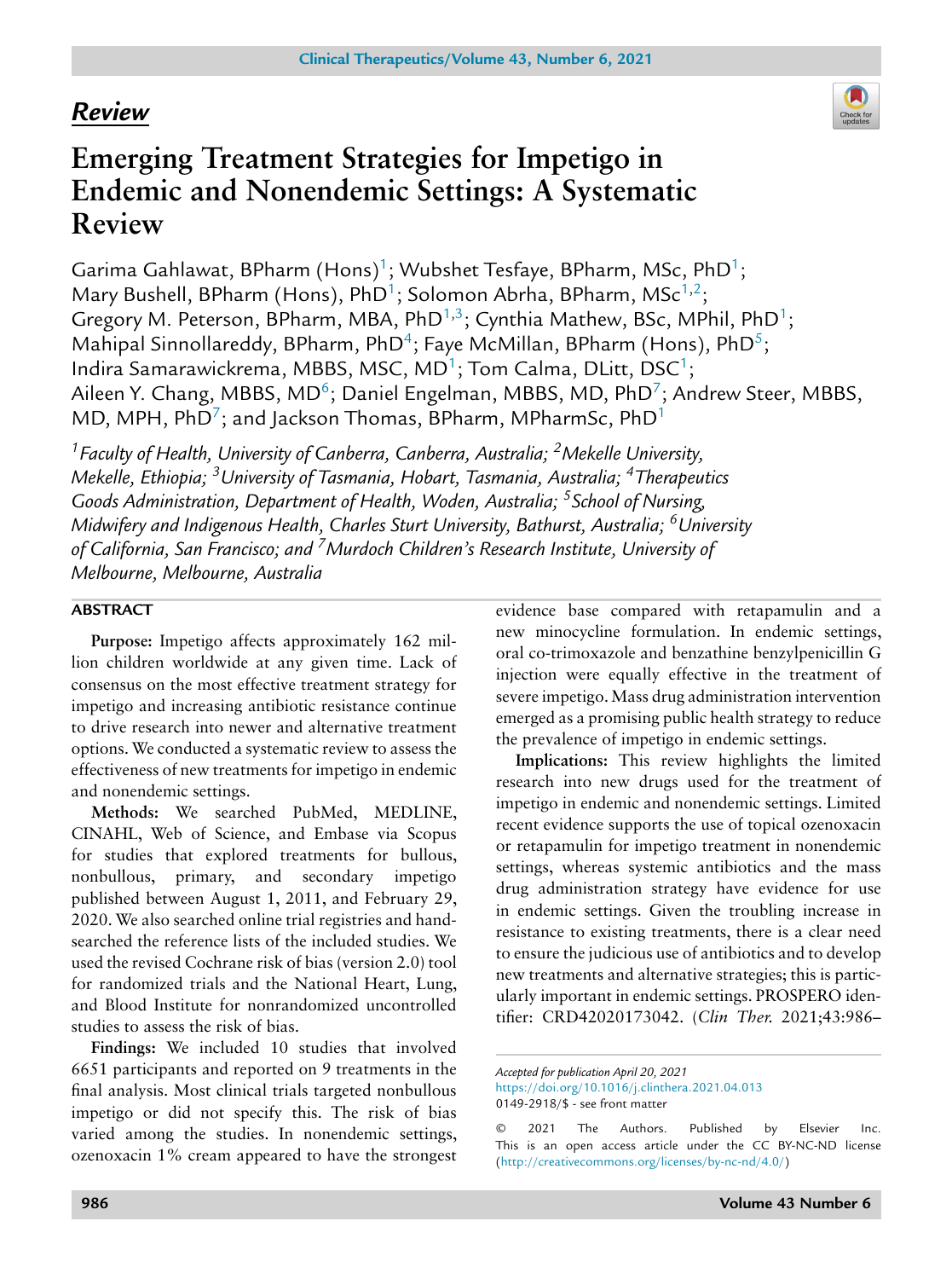# *Review*



# **Emerging Treatment Strategies for Impetigo in Endemic and Nonendemic Settings: A Systematic Review**

Garima Gahlawat, BPharm (Hons)<sup>1</sup>; Wubshet Tesfaye, BPharm, MSc, PhD<sup>1</sup>; Mary Bushell, BPharm (Hons), PhD<sup>1</sup>; Solomon Abrha, BPharm, MSc<sup>1,2</sup>; Gregory M. Peterson, BPharm, MBA, PhD<sup>1,3</sup>; Cynthia Mathew, BSc, MPhil, PhD<sup>1</sup>; Mahipal Sinnollareddy, BPharm, PhD<sup>4</sup>; Faye McMillan, BPharm (Hons), PhD<sup>5</sup>; Indira Samarawickrema, MBBS, MSC, MD<sup>1</sup>; Tom Calma, DLitt, DSC<sup>1</sup>; Aileen Y. Chang, MBBS, MD<sup>6</sup>; Daniel Engelman, MBBS, MD, PhD<sup>7</sup>; Andrew Steer, MBBS, MD, MPH,  $PhD<sup>7</sup>$ ; and Jackson Thomas, BPharm, MPharmSc,  $PhD<sup>1</sup>$ 

*1Faculty of Health, University of Canberra, Canberra, Australia; 2Mekelle University, Mekelle, Ethiopia; 3University of Tasmania, Hobart, Tasmania, Australia; 4Therapeutics Goods Administration, Department of Health, Woden, Australia; 5School of Nursing, Midwifery and Indigenous Health, Charles Sturt University, Bathurst, Australia; 6University of California, San Francisco; and 7Murdoch Children's Research Institute, University of Melbourne, Melbourne, Australia*

# **ABSTRACT**

**Purpose:** Impetigo affects approximately 162 million children worldwide at any given time. Lack of consensus on the most effective treatment strategy for impetigo and increasing antibiotic resistance continue to drive research into newer and alternative treatment options. We conducted a systematic review to assess the effectiveness of new treatments for impetigo in endemic and nonendemic settings.

**Methods:** We searched PubMed, MEDLINE, CINAHL, Web of Science, and Embase via Scopus for studies that explored treatments for bullous, nonbullous, primary, and secondary impetigo published between August 1, 2011, and February 29, 2020. We also searched online trial registries and handsearched the reference lists of the included studies. We used the revised Cochrane risk of bias (version 2.0) tool for randomized trials and the National Heart, Lung, and Blood Institute for nonrandomized uncontrolled studies to assess the risk of bias.

**Findings:** We included 10 studies that involved 6651 participants and reported on 9 treatments in the final analysis. Most clinical trials targeted nonbullous impetigo or did not specify this. The risk of bias varied among the studies. In nonendemic settings, ozenoxacin 1% cream appeared to have the strongest evidence base compared with retapamulin and a new minocycline formulation. In endemic settings, oral co-trimoxazole and benzathine benzylpenicillin G injection were equally effective in the treatment of severe impetigo. Mass drug administration intervention emerged as a promising public health strategy to reduce the prevalence of impetigo in endemic settings.

**Implications:** This review highlights the limited research into new drugs used for the treatment of impetigo in endemic and nonendemic settings. Limited recent evidence supports the use of topical ozenoxacin or retapamulin for impetigo treatment in nonendemic settings, whereas systemic antibiotics and the mass drug administration strategy have evidence for use in endemic settings. Given the troubling increase in resistance to existing treatments, there is a clear need to ensure the judicious use of antibiotics and to develop new treatments and alternative strategies; this is particularly important in endemic settings. PROSPERO identifier: CRD42020173042. (*Clin Ther.* 2021;43:986–

*Accepted for publication April 20, 2021* <https://doi.org/10.1016/j.clinthera.2021.04.013> 0149-2918/\$ - see front matter

<sup>© 2021</sup> The Authors. Published by Elsevier Inc. This is an open access article under the CC BY-NC-ND license [\(http://creativecommons.org/licenses/by-nc-nd/4.0/\)](http://creativecommons.org/licenses/by-nc-nd/4.0/)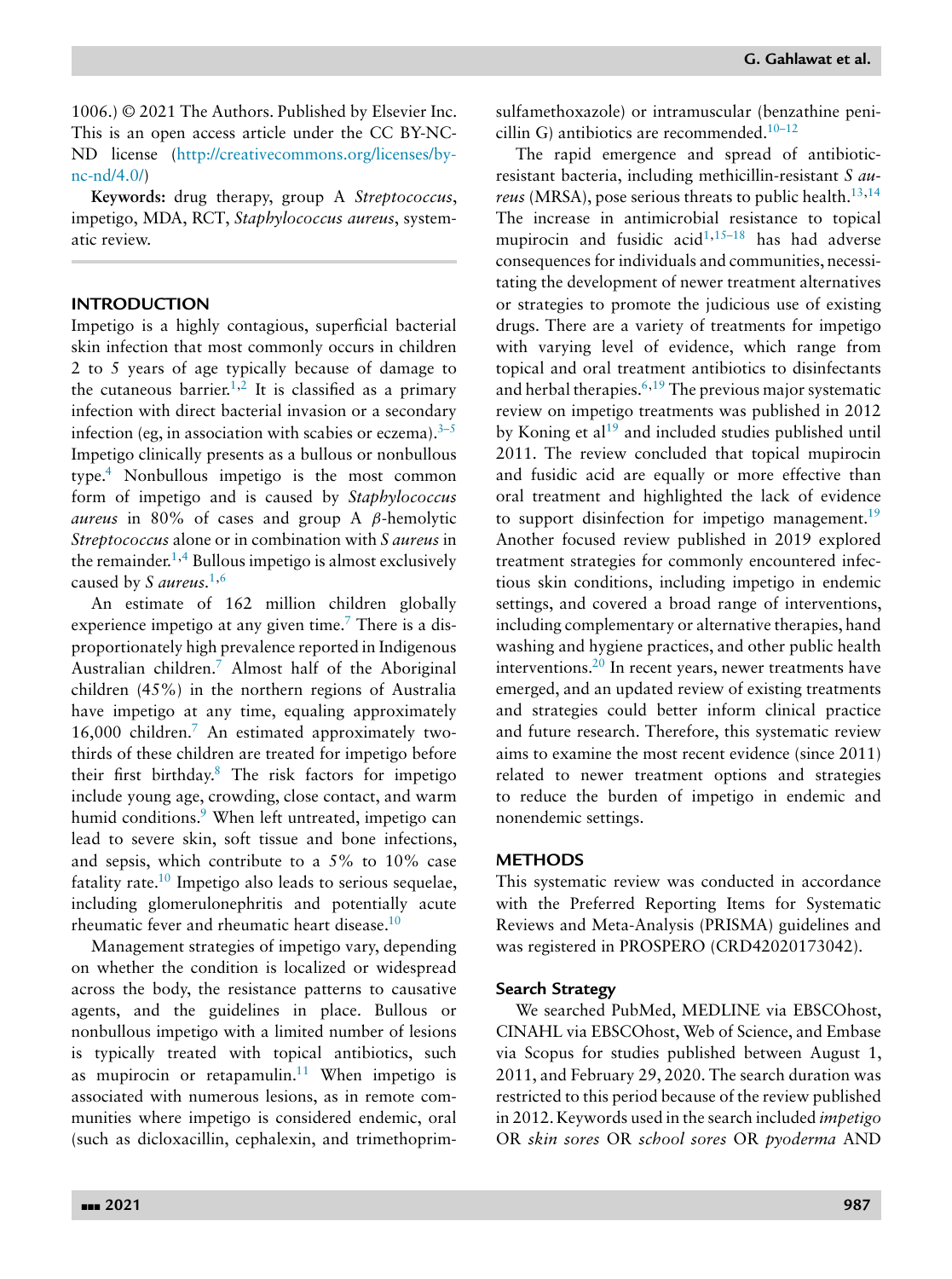1006.) © 2021 The Authors. Published by Elsevier Inc. This is an open access article under the CC BY-NC-ND license [\(http://creativecommons.org/licenses/by](http://creativecommons.org/licenses/by-nc-nd/4.0/)nc-nd/4.0/)

**Keywords:** drug therapy, group A *Streptococcus*, impetigo, MDA, RCT, *Staphylococcus aureus*, systematic review.

# **INTRODUCTION**

Impetigo is a highly contagious, superficial bacterial skin infection that most commonly occurs in children 2 to 5 years of age typically because of damage to the cutaneous barrier.<sup>1,2</sup> It is classified as a primary infection with direct bacterial invasion or a secondary infection (eg, in association with scabies or eczema). $3-5$ Impetigo clinically presents as a bullous or nonbullous type[.4](#page-18-0) Nonbullous impetigo is the most common form of impetigo and is caused by *Staphylococcus aureus* in 80% of cases and group A β-hemolytic *Streptococcus* alone or in combination with *S aureus* in the remainder.<sup>1,4</sup> Bullous impetigo is almost exclusively caused by *S aureus.*[1,6](#page-18-0)

An estimate of 162 million children globally experience impetigo at any given time.<sup>7</sup> There is a disproportionately high prevalence reported in Indigenous Australian children[.7](#page-18-0) Almost half of the Aboriginal children (45%) in the northern regions of Australia have impetigo at any time, equaling approximately 16,000 children[.7](#page-18-0) An estimated approximately twothirds of these children are treated for impetigo before their first birthday[.8](#page-18-0) The risk factors for impetigo include young age, crowding, close contact, and warm humid conditions.<sup>9</sup> When left untreated, impetigo can lead to severe skin, soft tissue and bone infections, and sepsis, which contribute to a 5% to 10% case fatality rate.<sup>10</sup> Impetigo also leads to serious sequelae, including glomerulonephritis and potentially acute rheumatic fever and rheumatic heart disease[.10](#page-18-0)

Management strategies of impetigo vary, depending on whether the condition is localized or widespread across the body, the resistance patterns to causative agents, and the guidelines in place. Bullous or nonbullous impetigo with a limited number of lesions is typically treated with topical antibiotics, such as mupirocin or retapamulin.<sup>11</sup> When impetigo is associated with numerous lesions, as in remote communities where impetigo is considered endemic, oral (such as dicloxacillin, cephalexin, and trimethoprimsulfamethoxazole) or intramuscular (benzathine penicillin G) antibiotics are recommended. $10-12$ 

The rapid emergence and spread of antibioticresistant bacteria, including methicillin-resistant *S aureus* (MRSA), pose serious threats to public health.<sup>13,14</sup> The increase in antimicrobial resistance to topical mupirocin and fusidic  $acid^{1,15-18}$  has had adverse consequences for individuals and communities, necessitating the development of newer treatment alternatives or strategies to promote the judicious use of existing drugs. There are a variety of treatments for impetigo with varying level of evidence, which range from topical and oral treatment antibiotics to disinfectants and herbal therapies.  $6,19$  $6,19$  The previous major systematic review on impetigo treatments was published in 2012 by Koning et  $al^{19}$  $al^{19}$  $al^{19}$  and included studies published until 2011. The review concluded that topical mupirocin and fusidic acid are equally or more effective than oral treatment and highlighted the lack of evidence to support disinfection for impetigo management.<sup>19</sup> Another focused review published in 2019 explored treatment strategies for commonly encountered infectious skin conditions, including impetigo in endemic settings, and covered a broad range of interventions, including complementary or alternative therapies, hand washing and hygiene practices, and other public health interventions.<sup>20</sup> In recent years, newer treatments have emerged, and an updated review of existing treatments and strategies could better inform clinical practice and future research. Therefore, this systematic review aims to examine the most recent evidence (since 2011) related to newer treatment options and strategies to reduce the burden of impetigo in endemic and nonendemic settings.

#### **METHODS**

This systematic review was conducted in accordance with the Preferred Reporting Items for Systematic Reviews and Meta-Analysis (PRISMA) guidelines and was registered in PROSPERO (CRD42020173042).

### **Search Strategy**

We searched PubMed, MEDLINE via EBSCOhost, CINAHL via EBSCOhost, Web of Science, and Embase via Scopus for studies published between August 1, 2011, and February 29, 2020. The search duration was restricted to this period because of the review published in 2012. Keywords used in the search included *impetigo* OR *skin sores* OR *school sores* OR *pyoderma* AND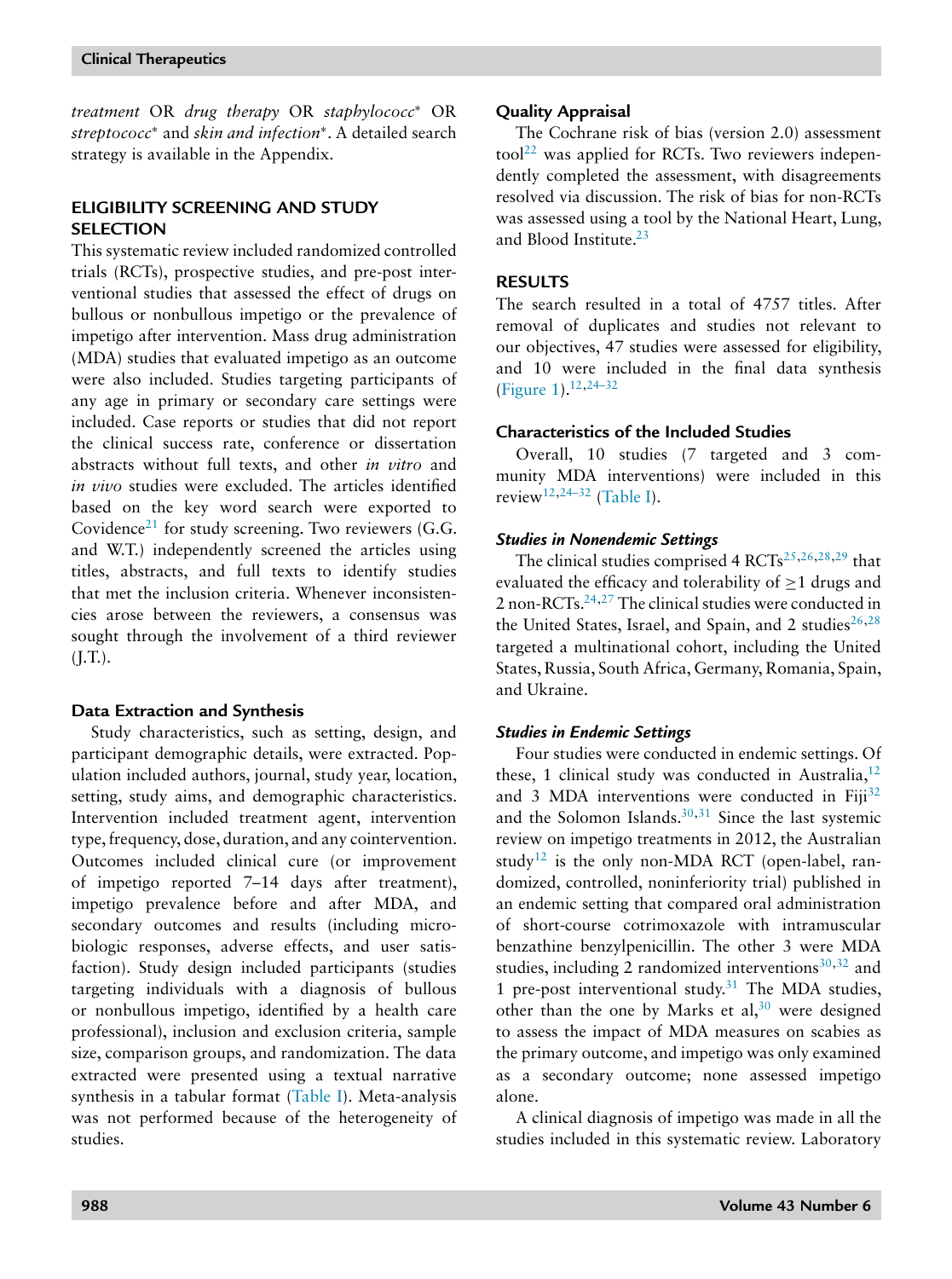*treatment* OR *drug therapy* OR *staphylococc*<sup>∗</sup> OR *streptococc*<sup>∗</sup> and *skin and infection*∗. A detailed search strategy is available in the Appendix.

# **ELIGIBILITY SCREENING AND STUDY SELECTION**

This systematic review included randomized controlled trials (RCTs), prospective studies, and pre-post interventional studies that assessed the effect of drugs on bullous or nonbullous impetigo or the prevalence of impetigo after intervention. Mass drug administration (MDA) studies that evaluated impetigo as an outcome were also included. Studies targeting participants of any age in primary or secondary care settings were included. Case reports or studies that did not report the clinical success rate, conference or dissertation abstracts without full texts, and other *in vitro* and *in vivo* studies were excluded. The articles identified based on the key word search were exported to Covidence<sup>[21](#page-19-0)</sup> for study screening. Two reviewers  $(G.G.,$ and W.T.) independently screened the articles using titles, abstracts, and full texts to identify studies that met the inclusion criteria. Whenever inconsistencies arose between the reviewers, a consensus was sought through the involvement of a third reviewer  $(J.T.).$ 

# **Data Extraction and Synthesis**

Study characteristics, such as setting, design, and participant demographic details, were extracted. Population included authors, journal, study year, location, setting, study aims, and demographic characteristics. Intervention included treatment agent, intervention type, frequency, dose, duration, and any cointervention. Outcomes included clinical cure (or improvement of impetigo reported 7–14 days after treatment), impetigo prevalence before and after MDA, and secondary outcomes and results (including microbiologic responses, adverse effects, and user satisfaction). Study design included participants (studies targeting individuals with a diagnosis of bullous or nonbullous impetigo, identified by a health care professional), inclusion and exclusion criteria, sample size, comparison groups, and randomization. The data extracted were presented using a textual narrative synthesis in a tabular format [\(Table](#page-3-0) I). Meta-analysis was not performed because of the heterogeneity of studies.

# **Quality Appraisal**

The Cochrane risk of bias (version 2.0) assessment  $\text{tool}^{22}$  $\text{tool}^{22}$  $\text{tool}^{22}$  was applied for RCTs. Two reviewers independently completed the assessment, with disagreements resolved via discussion. The risk of bias for non-RCTs was assessed using a tool by the National Heart, Lung, and Blood Institute[.23](#page-19-0)

# **RESULTS**

The search resulted in a total of 4757 titles. After removal of duplicates and studies not relevant to our objectives, 47 studies were assessed for eligibility, and 10 were included in the final data synthesis [\(Figure](#page-13-0) 1)[.12](#page-18-0)[,24–32](#page-19-0)

# **Characteristics of the Included Studies**

Overall, 10 studies (7 targeted and 3 community MDA interventions) were included in this review<sup>[12,](#page-18-0)[24–32](#page-19-0)</sup> [\(Table](#page-3-0) I).

# *Studies in Nonendemic Settings*

The clinical studies comprised 4 RCTs<sup>[25,26,28,29](#page-19-0)</sup> that evaluated the efficacy and tolerability of  $\geq$ 1 drugs and 2 non-RCTs. $24,27$  The clinical studies were conducted in the United States, Israel, and Spain, and 2 studies<sup>[26,28](#page-19-0)</sup> targeted a multinational cohort, including the United States, Russia, South Africa, Germany, Romania, Spain, and Ukraine.

# *Studies in Endemic Settings*

Four studies were conducted in endemic settings. Of these, 1 clinical study was conducted in Australia, $^{12}$ and 3 MDA interventions were conducted in Fiji<sup>[32](#page-19-0)</sup> and the Solomon Islands. $30,31$  Since the last systemic review on impetigo treatments in 2012, the Australian study<sup>[12](#page-18-0)</sup> is the only non-MDA RCT (open-label, randomized, controlled, noninferiority trial) published in an endemic setting that compared oral administration of short-course cotrimoxazole with intramuscular benzathine benzylpenicillin. The other 3 were MDA studies, including 2 randomized interventions $30,32$  and 1 pre-post interventional study. $31$  The MDA studies, other than the one by Marks et al,  $30$  were designed to assess the impact of MDA measures on scabies as the primary outcome, and impetigo was only examined as a secondary outcome; none assessed impetigo alone.

A clinical diagnosis of impetigo was made in all the studies included in this systematic review. Laboratory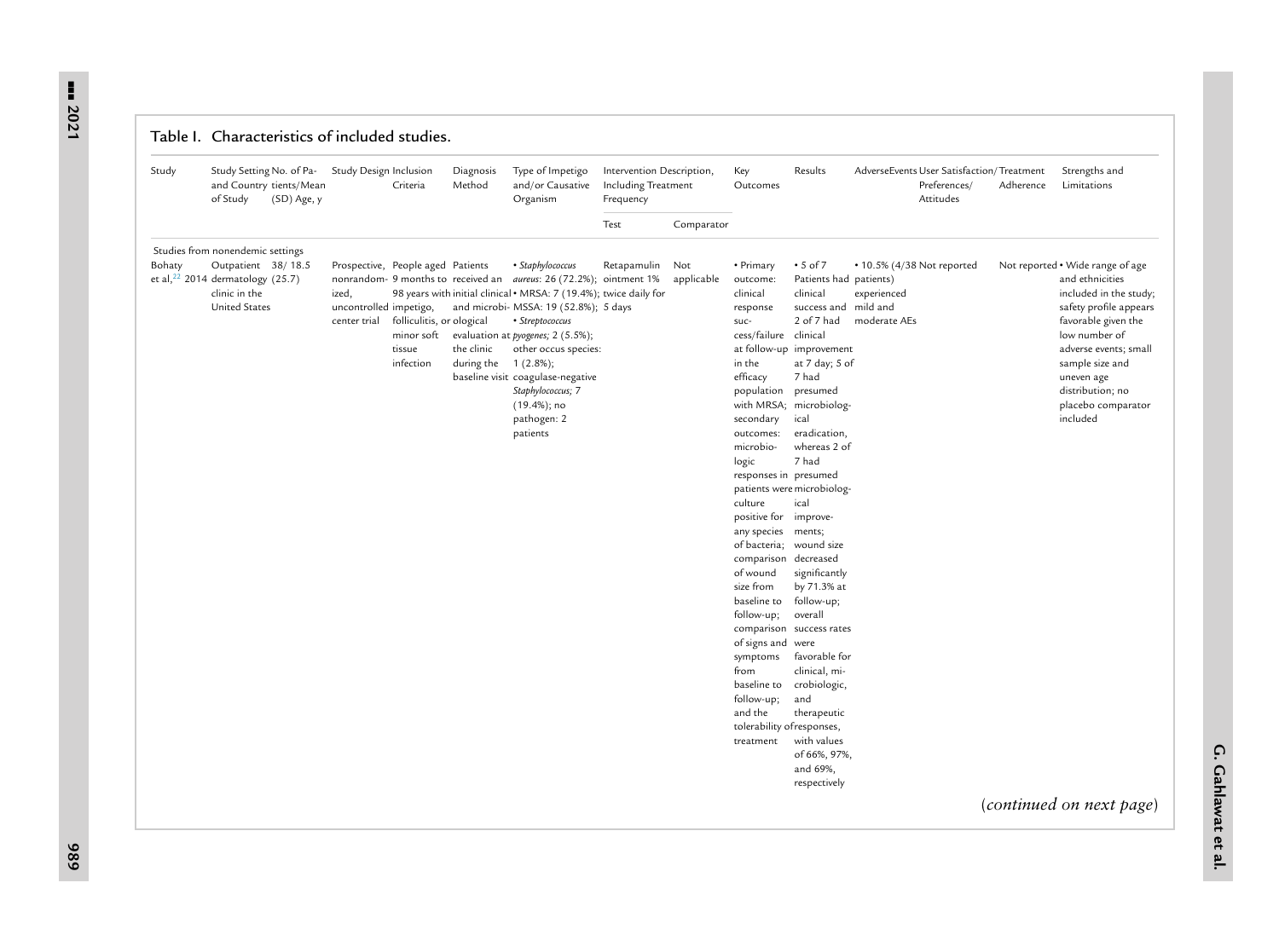<span id="page-3-0"></span>--- **2021**

|  | Table I. Characteristics of included studies. |  |  |
|--|-----------------------------------------------|--|--|
|  |                                               |  |  |

| Study  | Study Setting No. of Pa-<br>and Country tients/Mean<br>of Study                                    | (SD) Age, y | Study Design Inclusion                          | Criteria                                                                                            | Diagnosis<br>Method      | Type of Impetigo<br>and/or Causative<br>Organism                                                                                                                                                                                                                                                                                                                                                                           | Intervention Description,<br><b>Including Treatment</b><br>Frequency |                   | Key<br>Outcomes                                                                                                                                                                                                                                                                                                                                                                                                                                                 | Results                                                                                                                                                                                                                                                                                                                                                                                                                                                                                                                            |                                                           | AdverseEvents User Satisfaction/Treatment<br>Preferences/<br>Attitudes | Adherence | Strengths and<br>Limitations                                                                                                                                                                                                                                                                |
|--------|----------------------------------------------------------------------------------------------------|-------------|-------------------------------------------------|-----------------------------------------------------------------------------------------------------|--------------------------|----------------------------------------------------------------------------------------------------------------------------------------------------------------------------------------------------------------------------------------------------------------------------------------------------------------------------------------------------------------------------------------------------------------------------|----------------------------------------------------------------------|-------------------|-----------------------------------------------------------------------------------------------------------------------------------------------------------------------------------------------------------------------------------------------------------------------------------------------------------------------------------------------------------------------------------------------------------------------------------------------------------------|------------------------------------------------------------------------------------------------------------------------------------------------------------------------------------------------------------------------------------------------------------------------------------------------------------------------------------------------------------------------------------------------------------------------------------------------------------------------------------------------------------------------------------|-----------------------------------------------------------|------------------------------------------------------------------------|-----------|---------------------------------------------------------------------------------------------------------------------------------------------------------------------------------------------------------------------------------------------------------------------------------------------|
|        |                                                                                                    |             |                                                 |                                                                                                     |                          |                                                                                                                                                                                                                                                                                                                                                                                                                            | Test                                                                 | Comparator        |                                                                                                                                                                                                                                                                                                                                                                                                                                                                 |                                                                                                                                                                                                                                                                                                                                                                                                                                                                                                                                    |                                                           |                                                                        |           |                                                                                                                                                                                                                                                                                             |
|        | Studies from nonendemic settings                                                                   |             |                                                 |                                                                                                     |                          |                                                                                                                                                                                                                                                                                                                                                                                                                            |                                                                      |                   |                                                                                                                                                                                                                                                                                                                                                                                                                                                                 |                                                                                                                                                                                                                                                                                                                                                                                                                                                                                                                                    |                                                           |                                                                        |           |                                                                                                                                                                                                                                                                                             |
| Bohaty | Outpatient 38/18.5<br>et al, $22$ 2014 dermatology (25.7)<br>clinic in the<br><b>United States</b> |             | ized,<br>uncontrolled impetigo,<br>center trial | Prospective, People aged Patients<br>folliculitis, or ological<br>minor soft<br>tissue<br>infection | the clinic<br>during the | • Staphylococcus<br>nonrandom- 9 months to received an <i>aureus</i> : 26 (72.2%); ointment 1%<br>98 years with initial clinical . MRSA: 7 (19.4%); twice daily for<br>and microbi- MSSA: 19 (52.8%); 5 days<br>• Streptococcus<br>evaluation at <i>pyogenes</i> ; 2 (5.5%);<br>other occus species:<br>$1(2.8\%);$<br>baseline visit coagulase-negative<br>Staphylococcus; 7<br>$(19.4%)$ ; no<br>pathogen: 2<br>patients | Retapamulin                                                          | Not<br>applicable | • Primary<br>outcome:<br>clinical<br>response<br>suc-<br>cess/failure clinical<br>in the<br>efficacy<br>population<br>secondary<br>outcomes:<br>microbio-<br>logic<br>responses in presumed<br>culture<br>positive for improve-<br>any species ments;<br>comparison decreased<br>of wound<br>size from<br>baseline to<br>follow-up;<br>of signs and were<br>symptoms<br>from<br>baseline to<br>follow-up;<br>and the<br>tolerability of responses,<br>treatment | $\cdot$ 5 of 7<br>Patients had patients)<br>clinical<br>success and mild and<br>2 of 7 had<br>at follow-up improvement<br>at 7 day; 5 of<br>7 had<br>presumed<br>with MRSA; microbiolog-<br>ical<br>eradication,<br>whereas 2 of<br>7 had<br>patients were microbiolog-<br>ical<br>of bacteria; wound size<br>significantly<br>by 71.3% at<br>follow-up;<br>overall<br>comparison success rates<br>favorable for<br>clinical, mi-<br>crobiologic,<br>and<br>therapeutic<br>with values<br>of 66%, 97%,<br>and 69%,<br>respectively | • 10.5% (4/38 Not reported<br>experienced<br>moderate AEs |                                                                        |           | Not reported • Wide range of age<br>and ethnicities<br>included in the study;<br>safety profile appears<br>favorable given the<br>low number of<br>adverse events; small<br>sample size and<br>uneven age<br>distribution; no<br>placebo comparator<br>included<br>(continued on next page) |
|        |                                                                                                    |             |                                                 |                                                                                                     |                          |                                                                                                                                                                                                                                                                                                                                                                                                                            |                                                                      |                   |                                                                                                                                                                                                                                                                                                                                                                                                                                                                 |                                                                                                                                                                                                                                                                                                                                                                                                                                                                                                                                    |                                                           |                                                                        |           |                                                                                                                                                                                                                                                                                             |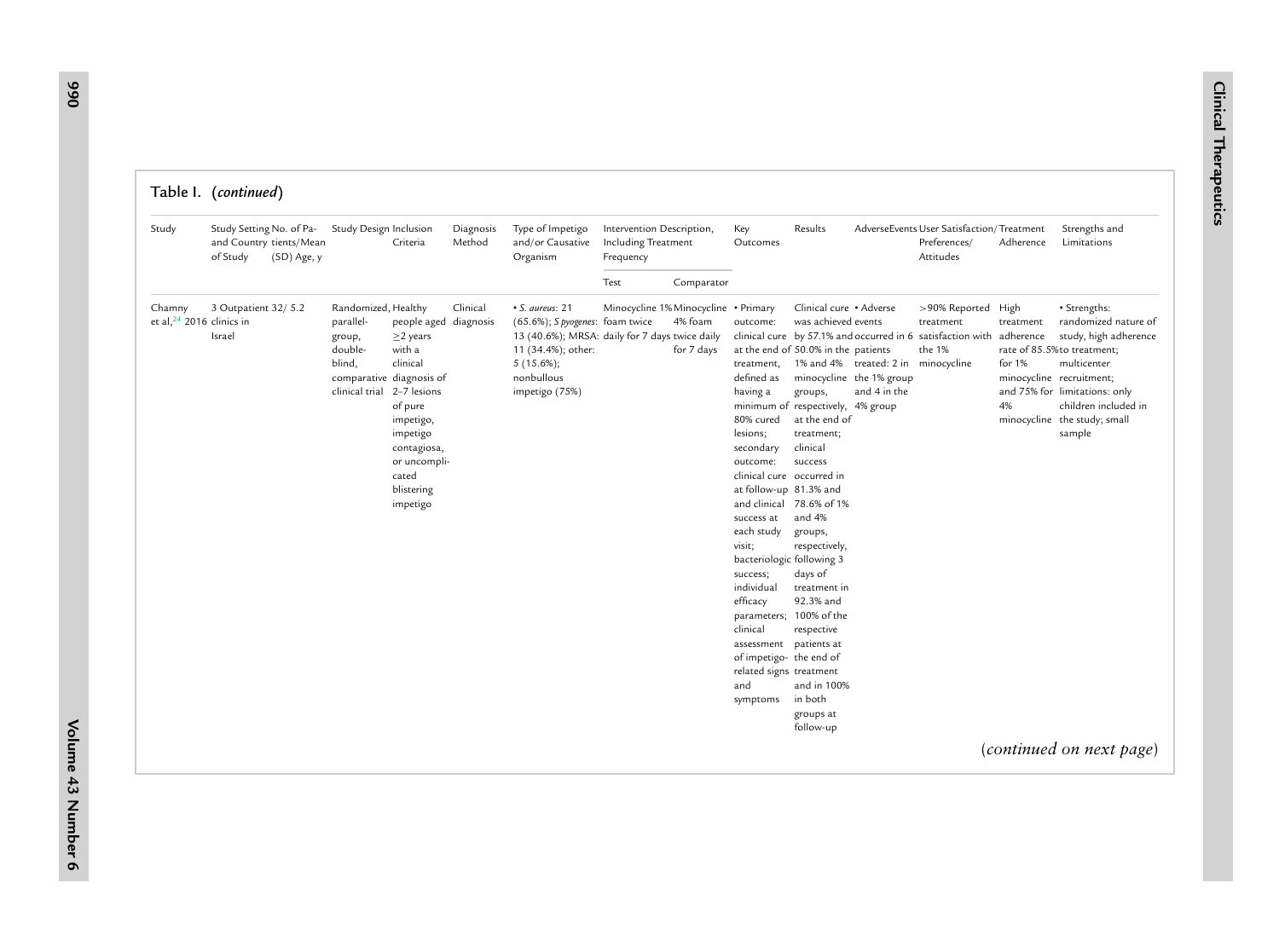| Study                                          | Study Setting No. of Pa-<br>and Country tients/Mean<br>of Study<br>(SD) Age, y | Study Design Inclusion                                                                                                    | Criteria                                                                                                                                                            | Diagnosis<br>Method | Type of Impetigo<br>and/or Causative<br>Organism                                                                                                                                 | Intervention Description,<br>Including Treatment<br>Frequency |                                                               | Key<br>Outcomes                                                                                                                                                                                                                                                                                                                                                       | Results                                                                                                                                                                                                                                                                                                                                                                                                                                       |              | AdverseEvents User Satisfaction/Treatment<br>Preferences/<br>Attitudes                                                                                   | Adherence                                               | Strengths and<br>Limitations                                                                                                                                                                                   |
|------------------------------------------------|--------------------------------------------------------------------------------|---------------------------------------------------------------------------------------------------------------------------|---------------------------------------------------------------------------------------------------------------------------------------------------------------------|---------------------|----------------------------------------------------------------------------------------------------------------------------------------------------------------------------------|---------------------------------------------------------------|---------------------------------------------------------------|-----------------------------------------------------------------------------------------------------------------------------------------------------------------------------------------------------------------------------------------------------------------------------------------------------------------------------------------------------------------------|-----------------------------------------------------------------------------------------------------------------------------------------------------------------------------------------------------------------------------------------------------------------------------------------------------------------------------------------------------------------------------------------------------------------------------------------------|--------------|----------------------------------------------------------------------------------------------------------------------------------------------------------|---------------------------------------------------------|----------------------------------------------------------------------------------------------------------------------------------------------------------------------------------------------------------------|
|                                                |                                                                                |                                                                                                                           |                                                                                                                                                                     |                     |                                                                                                                                                                                  | Test                                                          | Comparator                                                    |                                                                                                                                                                                                                                                                                                                                                                       |                                                                                                                                                                                                                                                                                                                                                                                                                                               |              |                                                                                                                                                          |                                                         |                                                                                                                                                                                                                |
| Chamny<br>et al, <sup>24</sup> 2016 clinics in | 3 Outpatient 32/ 5.2<br>Israel                                                 | Randomized, Healthy<br>parallel-<br>group,<br>double-<br>blind.<br>comparative diagnosis of<br>clinical trial 2-7 lesions | people aged diagnosis<br>$\geq$ 2 years<br>with a<br>clinical<br>of pure<br>impetigo,<br>impetigo<br>contagiosa,<br>or uncompli-<br>cated<br>blistering<br>impetigo | Clinical            | $\cdot$ S. aureus: 21<br>(65.6%); S pyogenes: foam twice<br>13 (40.6%); MRSA: daily for 7 days twice daily<br>11 (34.4%); other:<br>$5(15.6\%);$<br>nonbullous<br>impetigo (75%) |                                                               | Minocycline 1% Minocycline • Primary<br>4% foam<br>for 7 days | outcome:<br>treatment,<br>defined as<br>having a<br>80% cured<br>lesions;<br>secondary<br>outcome:<br>clinical cure occurred in<br>at follow-up 81.3% and<br>success at<br>each study<br>visit;<br>bacteriologic following 3<br>success;<br>individual<br>efficacy<br>clinical<br>assessment<br>of impetigo- the end of<br>related signs treatment<br>and<br>symptoms | Clinical cure • Adverse<br>was achieved events<br>at the end of 50.0% in the patients<br>minocycline the 1% group<br>groups,<br>minimum of respectively, 4% group<br>at the end of<br>treatment;<br>clinical<br>success<br>and clinical 78.6% of 1%<br>and 4%<br>groups,<br>respectively,<br>days of<br>treatment in<br>92.3% and<br>parameters; 100% of the<br>respective<br>patients at<br>and in 100%<br>in both<br>groups at<br>follow-up | and 4 in the | >90% Reported High<br>treatment<br>clinical cure by 57.1% and occurred in 6 satisfaction with adherence<br>the 1%<br>1% and 4% treated: 2 in minocycline | treatment<br>for $1%$<br>minocycline recruitment;<br>4% | · Strengths:<br>randomized nature of<br>study, high adherence<br>rate of 85.5% to treatment;<br>multicenter<br>and 75% for limitations: only<br>children included in<br>minocycline the study; small<br>sample |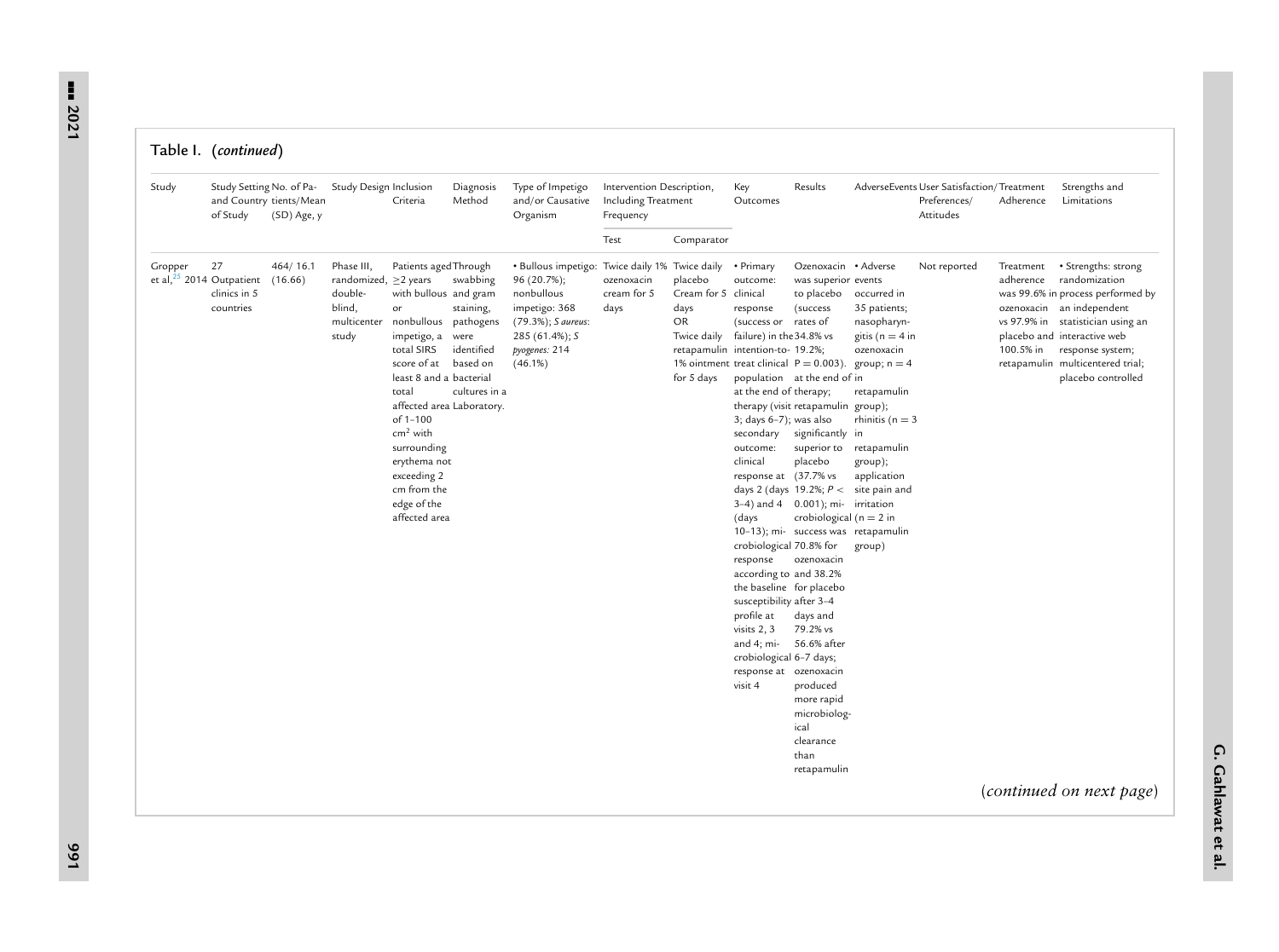#### Table I. (*continued*)

| Study                                  | Study Setting No. of Pa-<br>of Study | and Country tients/Mean<br>(SD) Age, y | Study Design Inclusion                                                                | Criteria                                                                                                                                                                                                                                                                                     | Diagnosis<br>Method                                                                           | Type of Impetigo<br>and/or Causative<br>Organism                                                                                                                 | Intervention Description,<br>Including Treatment<br>Frequency |                                                                            | Key<br>Outcomes                                                                                                                                                                                                                                                                                                                                                                                                                                                                            | Results                                                                                                                                                                                                                                                                                                                                                                                                                                                                          |                                                                                                                                                                                                                                                   | AdverseEvents User Satisfaction/Treatment<br>Preferences/<br>Attitudes | Adherence                           | Strengths and<br>Limitations                                                                                                                                                                                                                             |
|----------------------------------------|--------------------------------------|----------------------------------------|---------------------------------------------------------------------------------------|----------------------------------------------------------------------------------------------------------------------------------------------------------------------------------------------------------------------------------------------------------------------------------------------|-----------------------------------------------------------------------------------------------|------------------------------------------------------------------------------------------------------------------------------------------------------------------|---------------------------------------------------------------|----------------------------------------------------------------------------|--------------------------------------------------------------------------------------------------------------------------------------------------------------------------------------------------------------------------------------------------------------------------------------------------------------------------------------------------------------------------------------------------------------------------------------------------------------------------------------------|----------------------------------------------------------------------------------------------------------------------------------------------------------------------------------------------------------------------------------------------------------------------------------------------------------------------------------------------------------------------------------------------------------------------------------------------------------------------------------|---------------------------------------------------------------------------------------------------------------------------------------------------------------------------------------------------------------------------------------------------|------------------------------------------------------------------------|-------------------------------------|----------------------------------------------------------------------------------------------------------------------------------------------------------------------------------------------------------------------------------------------------------|
|                                        |                                      |                                        |                                                                                       |                                                                                                                                                                                                                                                                                              |                                                                                               |                                                                                                                                                                  | Test                                                          | Comparator                                                                 |                                                                                                                                                                                                                                                                                                                                                                                                                                                                                            |                                                                                                                                                                                                                                                                                                                                                                                                                                                                                  |                                                                                                                                                                                                                                                   |                                                                        |                                     |                                                                                                                                                                                                                                                          |
| Gropper<br>et al, $25$ 2014 Outpatient | 27<br>clinics in 5<br>countries      | 464/16.1<br>(16.66)                    | Phase III,<br>randomized, $\geq$ 2 years<br>double-<br>blind,<br>multicenter<br>study | Patients aged Through<br>with bullous and gram<br>or<br>nonbullous pathogens<br>impetigo, a were<br>total SIRS<br>score of at<br>least 8 and a bacterial<br>total<br>of $1 - 100$<br>$cm2$ with<br>surrounding<br>erythema not<br>exceeding 2<br>cm from the<br>edge of the<br>affected area | swabbing<br>staining,<br>identified<br>based on<br>cultures in a<br>affected area Laboratory. | • Bullous impetigo: Twice daily 1% Twice daily<br>96 (20.7%);<br>nonbullous<br>impetigo: 368<br>(79.3%); S aureus:<br>285 (61.4%); S<br>pyogenes: 214<br>(46.1%) | ozenoxacin<br>cream for 5<br>days                             | placebo<br>Cream for 5 clinical<br>days<br>OR<br>Twice daily<br>for 5 days | • Primary<br>outcome:<br>response<br>(success or rates of<br>failure) in the 34.8% vs<br>retapamulin intention-to- 19.2%;<br>at the end of therapy;<br>$3; days 6-7); was also$<br>secondary<br>outcome:<br>clinical<br>response at (37.7% vs<br>(days<br>crobiological 70.8% for<br>response<br>according to and 38.2%<br>the baseline for placebo<br>susceptibility after 3-4<br>profile at<br>visits 2, 3<br>and 4; mi-<br>crobiological 6-7 days;<br>response at ozenoxacin<br>visit 4 | Ozenoxacin • Adverse<br>was superior events<br>to placebo<br>(success)<br>population at the end of in<br>therapy (visit retapamulin group);<br>significantly in<br>superior to<br>placebo<br>days 2 (days 19.2%; $P <$<br>$3-4$ ) and $4$ 0.001); mi- irritation<br>crobiological ( $n = 2$ in<br>10-13); mi- success was retapamulin<br>ozenoxacin<br>days and<br>79.2% vs<br>56.6% after<br>produced<br>more rapid<br>microbiolog-<br>ical<br>clearance<br>than<br>retapamulin | occurred in<br>35 patients;<br>nasopharyn-<br>gitis ( $n = 4$ in<br>ozenoxacin<br>1% ointment treat clinical $P = 0.003$ ). group; n = 4<br>retapamulin<br>rhinitis ( $n = 3$<br>retapamulin<br>group);<br>application<br>site pain and<br>group) | Not reported                                                           | Treatment<br>adherence<br>100.5% in | · Strengths: strong<br>randomization<br>was 99.6% in process performed by<br>ozenoxacin an independent<br>vs 97.9% in statistician using an<br>placebo and interactive web<br>response system;<br>retapamulin multicentered trial;<br>placebo controlled |
|                                        |                                      |                                        |                                                                                       |                                                                                                                                                                                                                                                                                              |                                                                                               |                                                                                                                                                                  |                                                               |                                                                            |                                                                                                                                                                                                                                                                                                                                                                                                                                                                                            |                                                                                                                                                                                                                                                                                                                                                                                                                                                                                  |                                                                                                                                                                                                                                                   |                                                                        |                                     | (continued on next page)                                                                                                                                                                                                                                 |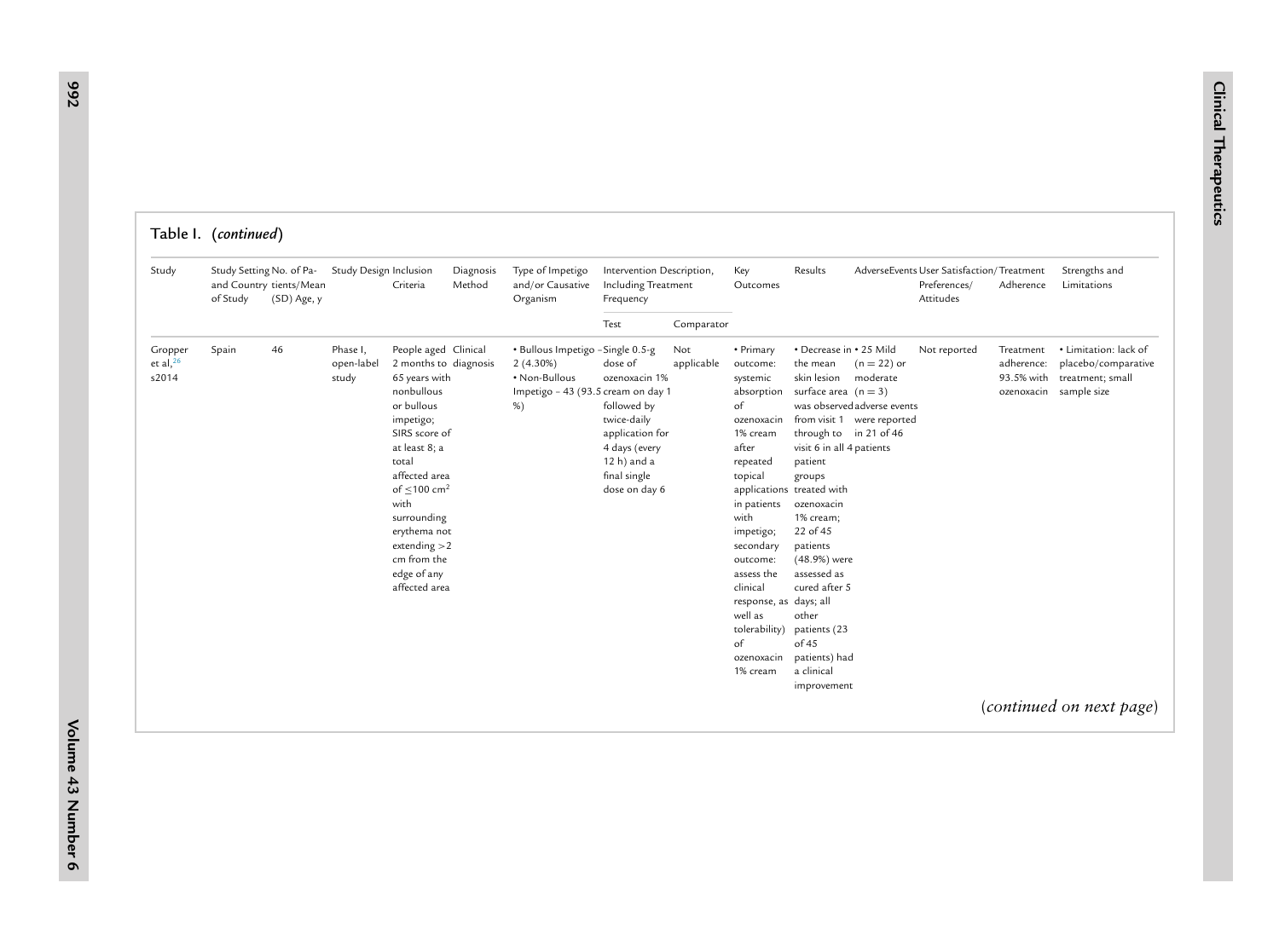|                                    | Table I. (continued)                 |                                        |                                 |                                                                                                                                                                                                                                                                                                              |                     |                                                                                                                  |                                                                                                                                            |                   |                                                                                                                                                                                                                                                                                              |                                                                                                                                                                                                                                                                                                                                                                          |                                                                                        |                                                                        |                                       |                                                                                            |
|------------------------------------|--------------------------------------|----------------------------------------|---------------------------------|--------------------------------------------------------------------------------------------------------------------------------------------------------------------------------------------------------------------------------------------------------------------------------------------------------------|---------------------|------------------------------------------------------------------------------------------------------------------|--------------------------------------------------------------------------------------------------------------------------------------------|-------------------|----------------------------------------------------------------------------------------------------------------------------------------------------------------------------------------------------------------------------------------------------------------------------------------------|--------------------------------------------------------------------------------------------------------------------------------------------------------------------------------------------------------------------------------------------------------------------------------------------------------------------------------------------------------------------------|----------------------------------------------------------------------------------------|------------------------------------------------------------------------|---------------------------------------|--------------------------------------------------------------------------------------------|
| Study                              | Study Setting No. of Pa-<br>of Study | and Country tients/Mean<br>(SD) Age, y | Study Design Inclusion          | Criteria                                                                                                                                                                                                                                                                                                     | Diagnosis<br>Method | Type of Impetigo<br>and/or Causative<br>Organism                                                                 | Intervention Description,<br>Including Treatment<br>Frequency                                                                              |                   | Key<br>Outcomes                                                                                                                                                                                                                                                                              | Results                                                                                                                                                                                                                                                                                                                                                                  |                                                                                        | AdverseEvents User Satisfaction/Treatment<br>Preferences/<br>Attitudes | Adherence                             | Strengths and<br>Limitations                                                               |
|                                    |                                      |                                        |                                 |                                                                                                                                                                                                                                                                                                              |                     |                                                                                                                  | Test                                                                                                                                       | Comparator        |                                                                                                                                                                                                                                                                                              |                                                                                                                                                                                                                                                                                                                                                                          |                                                                                        |                                                                        |                                       |                                                                                            |
| Gropper<br>et al, $^{26}$<br>s2014 | Spain                                | 46                                     | Phase I,<br>open-label<br>study | People aged Clinical<br>2 months to diagnosis<br>65 years with<br>nonbullous<br>or bullous<br>impetigo;<br>SIRS score of<br>at least 8; a<br>total<br>affected area<br>of $\leq 100$ cm <sup>2</sup><br>with<br>surrounding<br>erythema not<br>extending $>2$<br>cm from the<br>edge of any<br>affected area |                     | · Bullous Impetigo - Single 0.5-g<br>$2(4.30\%)$<br>• Non-Bullous<br>Impetigo - 43 (93.5 cream on day 1<br>$%$ ) | dose of<br>ozenoxacin 1%<br>followed by<br>twice-daily<br>application for<br>4 days (every<br>12 h) and a<br>final single<br>dose on day 6 | Not<br>applicable | • Primary<br>outcome:<br>systemic<br>absorption<br>of<br>ozenoxacin<br>1% cream<br>after<br>repeated<br>topical<br>in patients<br>with<br>impetigo;<br>secondary<br>outcome:<br>assess the<br>clinical<br>response, as days; all<br>well as<br>tolerability)<br>of<br>ozenoxacin<br>1% cream | • Decrease in • 25 Mild<br>the mean<br>skin lesion<br>surface area $(n = 3)$<br>through to in 21 of 46<br>visit 6 in all 4 patients<br>patient<br>groups<br>applications treated with<br>ozenoxacin<br>1% cream;<br>22 of 45<br>patients<br>(48.9%) were<br>assessed as<br>cured after 5<br>other<br>patients (23<br>of 45<br>patients) had<br>a clinical<br>improvement | $(n = 22)$ or<br>moderate<br>was observed adverse events<br>from visit 1 were reported | Not reported                                                           | Treatment<br>adherence:<br>93.5% with | • Limitation: lack of<br>placebo/comparative<br>treatment; small<br>ozenoxacin sample size |
|                                    |                                      |                                        |                                 |                                                                                                                                                                                                                                                                                                              |                     |                                                                                                                  |                                                                                                                                            |                   |                                                                                                                                                                                                                                                                                              |                                                                                                                                                                                                                                                                                                                                                                          |                                                                                        |                                                                        |                                       | (continued on next page)                                                                   |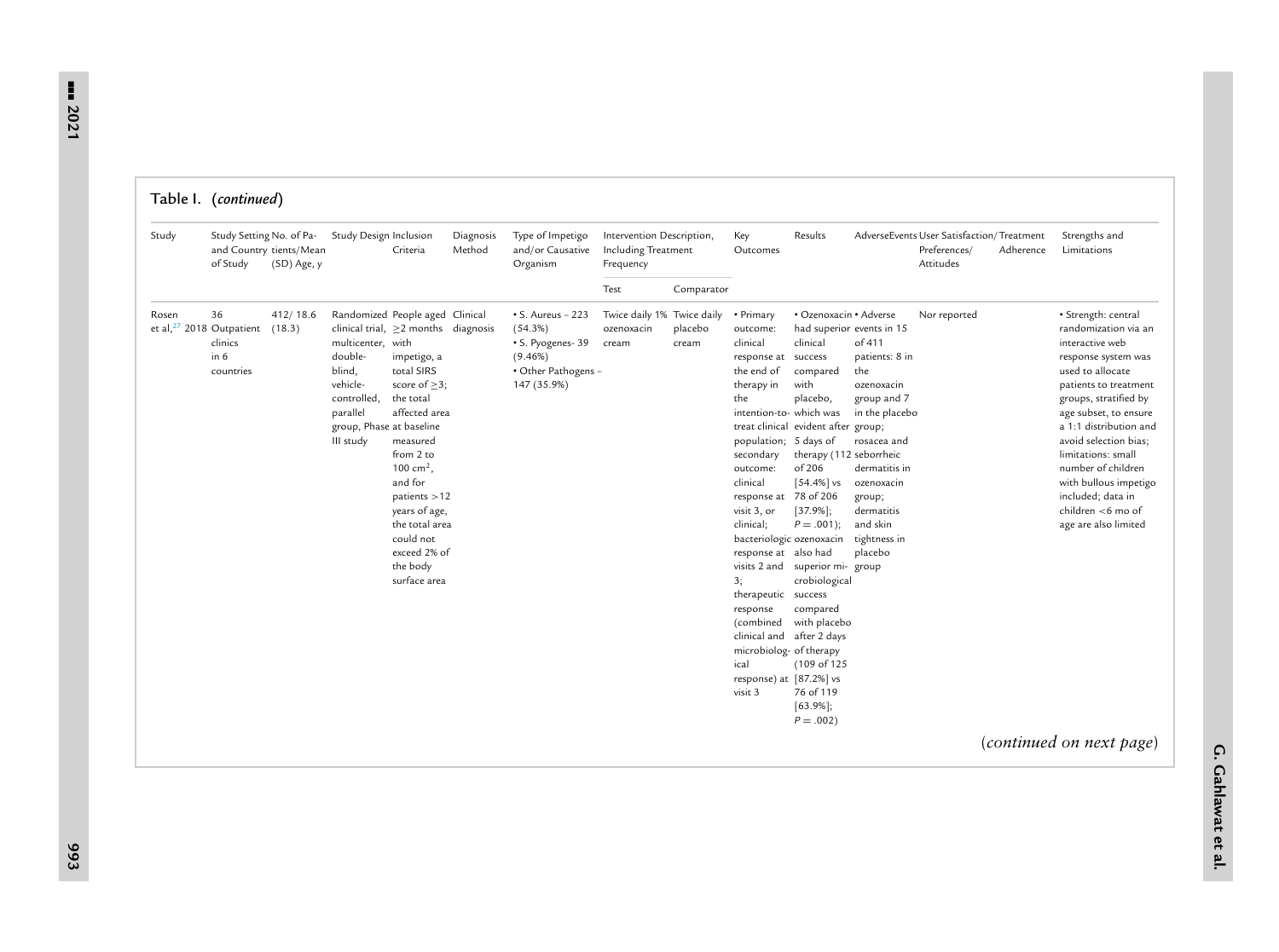| Study | Study Setting No. of Pa-<br>of Study                                     | and Country tients/Mean<br>(SD) Age, y | Study Design Inclusion                                                                                                                                                                                 | Criteria                                                                                                                                                                                                                                                | Diagnosis<br>Method | Type of Impetigo<br>and/or Causative<br>Organism                                                            | Intervention Description,<br>Including Treatment<br>Frequency |                  | Key<br>Outcomes                                                                                                                                                                                                                                                                                                                                                                                        | Results                                                                                                                                                                                                                                                                                                                                                                                          |                                                                                                                                                                                                                          | AdverseEvents User Satisfaction/Treatment<br>Preferences/<br>Attitudes | Adherence | Strengths and<br>Limitations                                                                                                                                                                                                                                                                                                                                                   |
|-------|--------------------------------------------------------------------------|----------------------------------------|--------------------------------------------------------------------------------------------------------------------------------------------------------------------------------------------------------|---------------------------------------------------------------------------------------------------------------------------------------------------------------------------------------------------------------------------------------------------------|---------------------|-------------------------------------------------------------------------------------------------------------|---------------------------------------------------------------|------------------|--------------------------------------------------------------------------------------------------------------------------------------------------------------------------------------------------------------------------------------------------------------------------------------------------------------------------------------------------------------------------------------------------------|--------------------------------------------------------------------------------------------------------------------------------------------------------------------------------------------------------------------------------------------------------------------------------------------------------------------------------------------------------------------------------------------------|--------------------------------------------------------------------------------------------------------------------------------------------------------------------------------------------------------------------------|------------------------------------------------------------------------|-----------|--------------------------------------------------------------------------------------------------------------------------------------------------------------------------------------------------------------------------------------------------------------------------------------------------------------------------------------------------------------------------------|
|       |                                                                          |                                        |                                                                                                                                                                                                        |                                                                                                                                                                                                                                                         |                     |                                                                                                             | Test                                                          | Comparator       |                                                                                                                                                                                                                                                                                                                                                                                                        |                                                                                                                                                                                                                                                                                                                                                                                                  |                                                                                                                                                                                                                          |                                                                        |           |                                                                                                                                                                                                                                                                                                                                                                                |
| Rosen | 36<br>et al, $27$ 2018 Outpatient (18.3)<br>clinics<br>in 6<br>countries | 412/18.6                               | Randomized People aged Clinical<br>clinical trial, $\geq$ 2 months diagnosis<br>multicenter, with<br>double-<br>blind,<br>vehicle-<br>controlled,<br>parallel<br>group, Phase at baseline<br>III study | impetigo, a<br>total SIRS<br>score of $\geq$ 3;<br>the total<br>affected area<br>measured<br>from 2 to<br>100 cm <sup>2</sup> .<br>and for<br>patients > 12<br>years of age,<br>the total area<br>could not<br>exceed 2% of<br>the body<br>surface area |                     | $\cdot$ S. Aureus - 223<br>(54.3%)<br>· S. Pyogenes- 39<br>$(9.46\%)$<br>· Other Pathogens -<br>147 (35.9%) | Twice daily 1% Twice daily<br>ozenoxacin<br>cream             | placebo<br>cream | • Primary<br>outcome:<br>clinical<br>response at success<br>the end of<br>therapy in<br>the<br>intention-to- which was<br>population; 5 days of<br>secondary<br>outcome:<br>clinical<br>response at<br>visit 3, or<br>clinical;<br>response at also had<br>3;<br>therapeutic success<br>response<br>(combined<br>clinical and<br>microbiolog- of therapy<br>ical<br>response) at [87.2%] vs<br>visit 3 | · Ozenoxacin · Adverse<br>clinical<br>compared<br>with<br>placebo,<br>treat clinical evident after group;<br>therapy (112 seborrheic<br>of 206<br>$[54.4\%]$ vs<br>78 of 206<br>$[37.9\%];$<br>$P = .001$ ;<br>bacteriologic ozenoxacin<br>visits 2 and superior mi- group<br>crobiological<br>compared<br>with placebo<br>after 2 days<br>(109 of 125<br>76 of 119<br>$[63.9\%];$<br>$P = .002$ | had superior events in 15<br>of 411<br>patients: 8 in<br>the<br>ozenoxacin<br>group and 7<br>in the placebo<br>rosacea and<br>dermatitis in<br>ozenoxacin<br>group;<br>dermatitis<br>and skin<br>tightness in<br>placebo | Nor reported                                                           |           | · Strength: central<br>randomization via an<br>interactive web<br>response system was<br>used to allocate<br>patients to treatment<br>groups, stratified by<br>age subset, to ensure<br>a 1:1 distribution and<br>avoid selection bias;<br>limitations: small<br>number of children<br>with bullous impetigo<br>included; data in<br>children <6 mo of<br>age are also limited |
|       |                                                                          |                                        |                                                                                                                                                                                                        |                                                                                                                                                                                                                                                         |                     |                                                                                                             |                                                               |                  |                                                                                                                                                                                                                                                                                                                                                                                                        |                                                                                                                                                                                                                                                                                                                                                                                                  |                                                                                                                                                                                                                          |                                                                        |           | (continued on next page)                                                                                                                                                                                                                                                                                                                                                       |

Table I. (*continued*)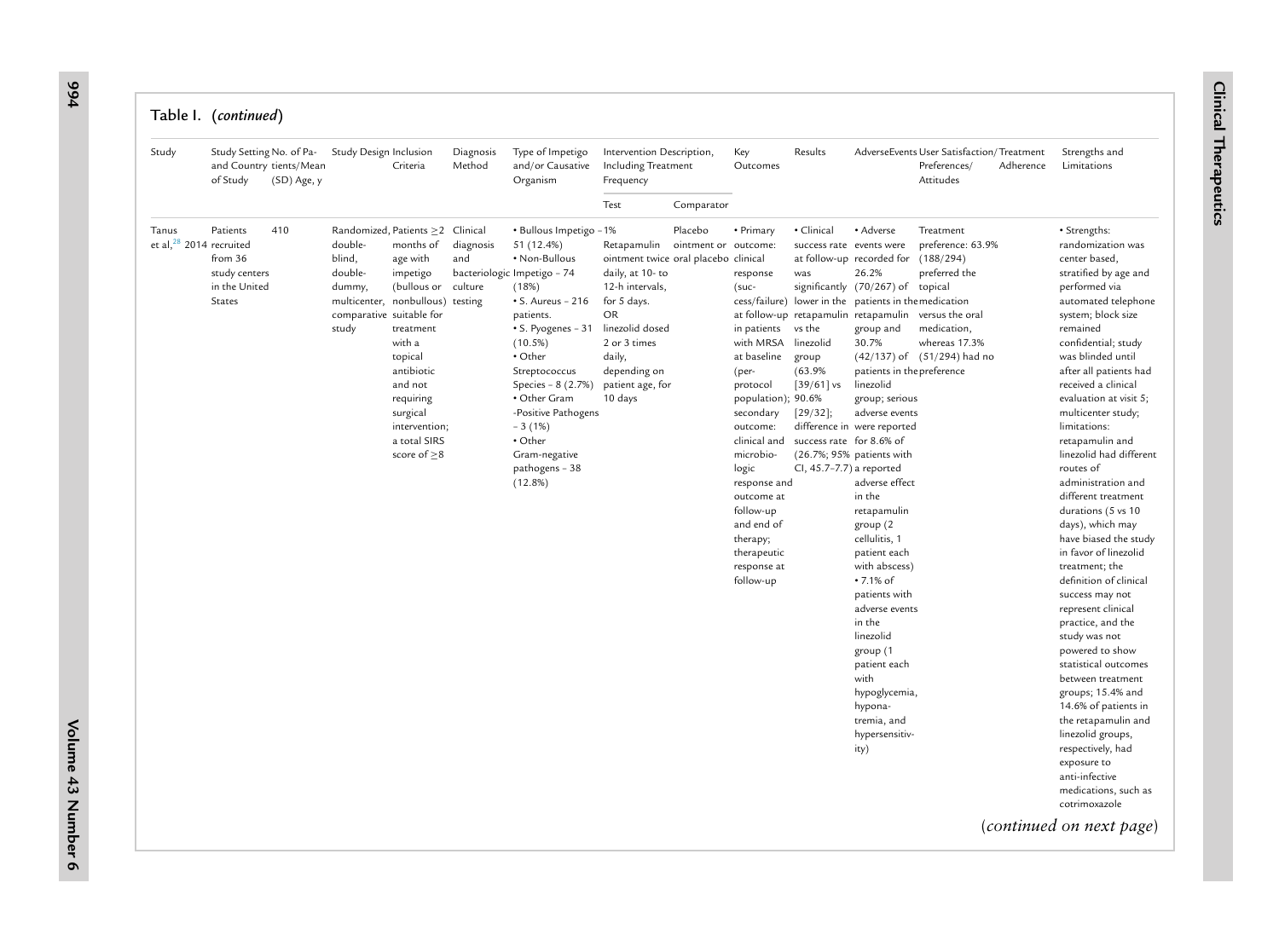| Study                               | Study Setting No. of Pa-<br>of Study                                   | and Country tients/Mean<br>(SD) Age, y | Study Design Inclusion                                                                                                                              | Criteria                                                                                                                                                                               | Diagnosis<br>Method         | Type of Impetigo<br>and/or Causative<br>Organism                                                                                                                                                                                                                                                                                        | Intervention Description,<br>Including Treatment<br>Frequency                                                                                                                                              |                                 | Key<br>Outcomes                                                                                                                                                                                                                                                                                       | Results                                                                                                                                                                                                             |                                                                                                                                                                                                                                                                                                                                                                                                                                                                                                                                                                                                          | AdverseEvents User Satisfaction/Treatment<br>Preferences/<br>Adherence<br>Attitudes                                                            | Strengths and<br>Limitations                                                                                                                                                                                                                                                                                                                                                                                                                                                                                                                                                                                                                                                                                                                                                                                                                                                                                                          |
|-------------------------------------|------------------------------------------------------------------------|----------------------------------------|-----------------------------------------------------------------------------------------------------------------------------------------------------|----------------------------------------------------------------------------------------------------------------------------------------------------------------------------------------|-----------------------------|-----------------------------------------------------------------------------------------------------------------------------------------------------------------------------------------------------------------------------------------------------------------------------------------------------------------------------------------|------------------------------------------------------------------------------------------------------------------------------------------------------------------------------------------------------------|---------------------------------|-------------------------------------------------------------------------------------------------------------------------------------------------------------------------------------------------------------------------------------------------------------------------------------------------------|---------------------------------------------------------------------------------------------------------------------------------------------------------------------------------------------------------------------|----------------------------------------------------------------------------------------------------------------------------------------------------------------------------------------------------------------------------------------------------------------------------------------------------------------------------------------------------------------------------------------------------------------------------------------------------------------------------------------------------------------------------------------------------------------------------------------------------------|------------------------------------------------------------------------------------------------------------------------------------------------|---------------------------------------------------------------------------------------------------------------------------------------------------------------------------------------------------------------------------------------------------------------------------------------------------------------------------------------------------------------------------------------------------------------------------------------------------------------------------------------------------------------------------------------------------------------------------------------------------------------------------------------------------------------------------------------------------------------------------------------------------------------------------------------------------------------------------------------------------------------------------------------------------------------------------------------|
|                                     |                                                                        |                                        |                                                                                                                                                     |                                                                                                                                                                                        |                             |                                                                                                                                                                                                                                                                                                                                         | Test                                                                                                                                                                                                       | Comparator                      |                                                                                                                                                                                                                                                                                                       |                                                                                                                                                                                                                     |                                                                                                                                                                                                                                                                                                                                                                                                                                                                                                                                                                                                          |                                                                                                                                                |                                                                                                                                                                                                                                                                                                                                                                                                                                                                                                                                                                                                                                                                                                                                                                                                                                                                                                                                       |
| Tanus<br>et al, $28$ 2014 recruited | Patients<br>from 36<br>study centers<br>in the United<br><b>States</b> | 410                                    | Randomized, Patients ≥2 Clinical<br>double-<br>blind,<br>double-<br>dummy,<br>multicenter, nonbullous) testing<br>comparative suitable for<br>study | months of<br>age with<br>impetigo<br>(bullous or<br>treatment<br>with a<br>topical<br>antibiotic<br>and not<br>requiring<br>surgical<br>intervention;<br>a total SIRS<br>score of $>8$ | diagnosis<br>and<br>culture | · Bullous Impetigo - 1%<br>51 (12.4%)<br>• Non-Bullous<br>bacteriologic Impetigo - 74<br>(18%)<br>$\bullet$ S. Aureus - 216<br>patients.<br>• S. Pyogenes - 31<br>(10.5%)<br>• Other<br>Streptococcus<br>Species - 8 (2.7%)<br>• Other Gram<br>-Positive Pathogens<br>$-3(1%)$<br>• Other<br>Gram-negative<br>pathogens - 38<br>(12.8%) | Retapamulin<br>ointment twice oral placebo clinical<br>daily, at 10-to<br>12-h intervals,<br>for 5 days.<br>OR<br>linezolid dosed<br>2 or 3 times<br>daily,<br>depending on<br>patient age, for<br>10 days | Placebo<br>ointment or outcome: | • Primary<br>response<br>$(suc-$<br>in patients<br>with MRSA<br>at baseline<br>(per-<br>protocol<br>population); 90.6%<br>secondary<br>outcome:<br>clinical and<br>microbio-<br>logic<br>response and<br>outcome at<br>follow-up<br>and end of<br>therapy;<br>therapeutic<br>response at<br>follow-up | · Clinical<br>success rate events were<br>was<br>at follow-up retapamulin retapamulin<br>vs the<br>linezolid<br>group<br>(63.9%<br>$[39/61]$ vs<br>[29/32];<br>success rate for 8.6% of<br>CI, 45.7-7.7) a reported | • Adverse<br>at follow-up recorded for<br>26.2%<br>significantly (70/267) of topical<br>cess/failure) lower in the patients in the medication<br>group and<br>30.7%<br>patients in the preference<br>linezolid<br>group; serious<br>adverse events<br>difference in were reported<br>(26.7%; 95% patients with<br>adverse effect<br>in the<br>retapamulin<br>group (2)<br>cellulitis, 1<br>patient each<br>with abscess)<br>• 7.1% of<br>patients with<br>adverse events<br>in the<br>linezolid<br>group (1<br>patient each<br>with<br>hypoglycemia,<br>hypona-<br>tremia, and<br>hypersensitiv-<br>ity) | Treatment<br>preference: 63.9%<br>(188/294)<br>preferred the<br>versus the oral<br>medication,<br>whereas 17.3%<br>(42/137) of (51/294) had no | · Strengths:<br>randomization was<br>center based,<br>stratified by age and<br>performed via<br>automated telephone<br>system; block size<br>remained<br>confidential; study<br>was blinded until<br>after all patients had<br>received a clinical<br>evaluation at visit 5;<br>multicenter study;<br>limitations:<br>retapamulin and<br>linezolid had different<br>routes of<br>administration and<br>different treatment<br>durations (5 vs 10<br>days), which may<br>have biased the study<br>in favor of linezolid<br>treatment; the<br>definition of clinical<br>success may not<br>represent clinical<br>practice, and the<br>study was not<br>powered to show<br>statistical outcomes<br>between treatment<br>groups; 15.4% and<br>14.6% of patients in<br>the retapamulin and<br>linezolid groups,<br>respectively, had<br>exposure to<br>anti-infective<br>medications, such as<br>cotrimoxazole<br>(continued on next page) |

**994**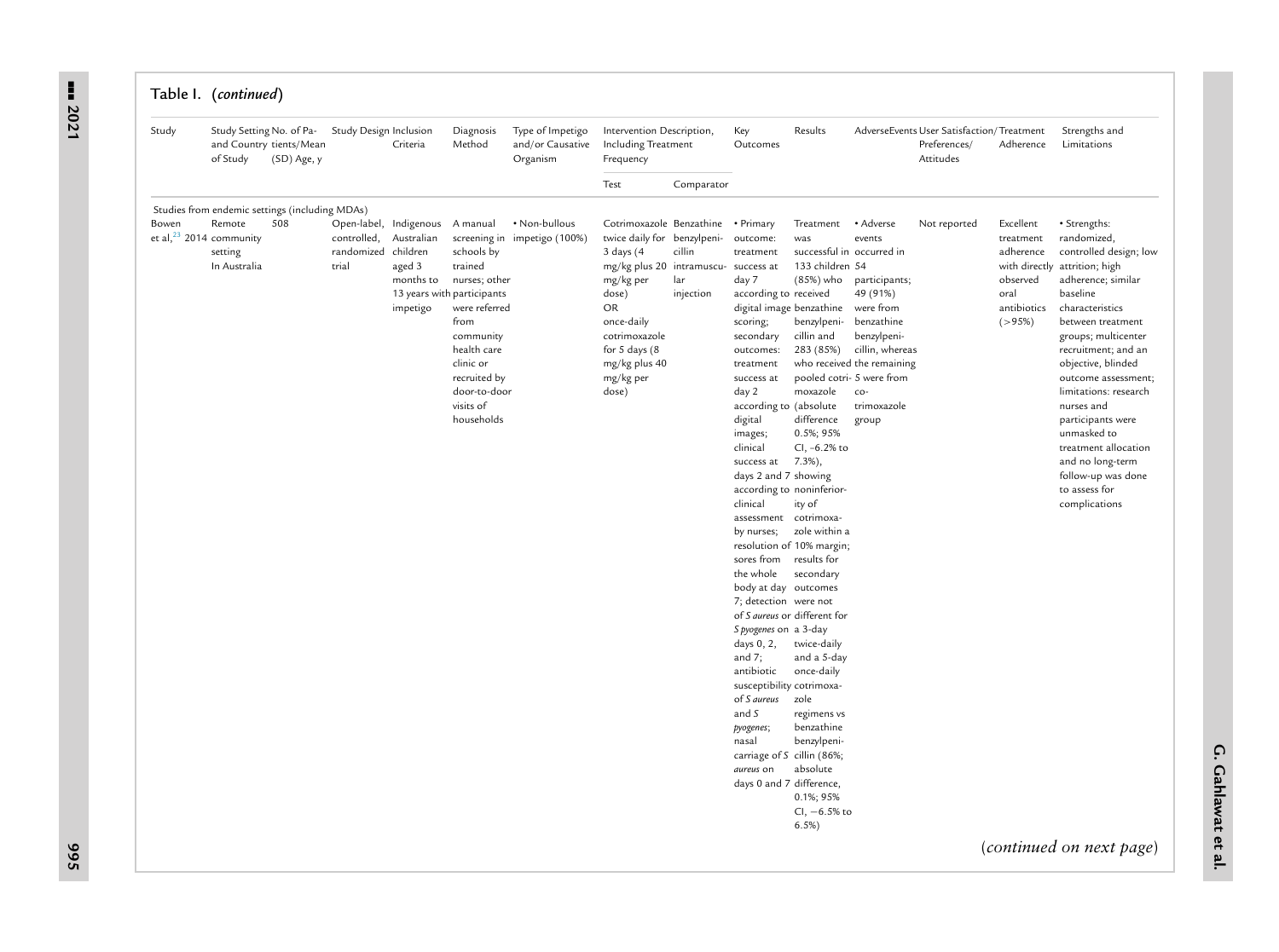| Study | Study Setting No. of Pa-<br>of Study                               | and Country tients/Mean<br>(SD) Age, y                | Study Design Inclusion                      | Criteria                                                                                              | Diagnosis<br>Method                                                                                                                                                             | Type of Impetigo<br>and/or Causative<br>Organism | Intervention Description,<br>Including Treatment<br>Frequency                                                                                                                                                                                       |                            | Key<br>Outcomes                                                                                                                                                                                                                                                                                                                                                                                                                                                                                                                                                                                                                                                                          | Results                                                                                                                                                                                                                                                                                                                                                                                                                                                           |                                                                                                                                                                            | AdverseEvents User Satisfaction/Treatment<br>Preferences/<br>Attitudes | Adherence                                                                                              | Strengths and<br>Limitations                                                                                                                                                                                                                                                                                                                                                                                                 |
|-------|--------------------------------------------------------------------|-------------------------------------------------------|---------------------------------------------|-------------------------------------------------------------------------------------------------------|---------------------------------------------------------------------------------------------------------------------------------------------------------------------------------|--------------------------------------------------|-----------------------------------------------------------------------------------------------------------------------------------------------------------------------------------------------------------------------------------------------------|----------------------------|------------------------------------------------------------------------------------------------------------------------------------------------------------------------------------------------------------------------------------------------------------------------------------------------------------------------------------------------------------------------------------------------------------------------------------------------------------------------------------------------------------------------------------------------------------------------------------------------------------------------------------------------------------------------------------------|-------------------------------------------------------------------------------------------------------------------------------------------------------------------------------------------------------------------------------------------------------------------------------------------------------------------------------------------------------------------------------------------------------------------------------------------------------------------|----------------------------------------------------------------------------------------------------------------------------------------------------------------------------|------------------------------------------------------------------------|--------------------------------------------------------------------------------------------------------|------------------------------------------------------------------------------------------------------------------------------------------------------------------------------------------------------------------------------------------------------------------------------------------------------------------------------------------------------------------------------------------------------------------------------|
|       |                                                                    |                                                       |                                             |                                                                                                       |                                                                                                                                                                                 |                                                  | Test                                                                                                                                                                                                                                                | Comparator                 |                                                                                                                                                                                                                                                                                                                                                                                                                                                                                                                                                                                                                                                                                          |                                                                                                                                                                                                                                                                                                                                                                                                                                                                   |                                                                                                                                                                            |                                                                        |                                                                                                        |                                                                                                                                                                                                                                                                                                                                                                                                                              |
| Bowen | Remote<br>et al, $^{23}$ 2014 community<br>setting<br>In Australia | Studies from endemic settings (including MDAs)<br>508 | controlled,<br>randomized children<br>trial | Open-label, Indigenous<br>Australian<br>aged 3<br>months to<br>13 years with participants<br>impetigo | A manual<br>schools by<br>trained<br>nurses; other<br>were referred<br>from<br>community<br>health care<br>clinic or<br>recruited by<br>door-to-door<br>visits of<br>households | • Non-bullous<br>screening in impetigo (100%)    | Cotrimoxazole Benzathine . Primary<br>twice daily for benzylpeni-<br>$3$ days $(4)$<br>mg/kg plus 20 intramuscu- success at<br>mg/kg per<br>dose)<br>OR<br>once-daily<br>cotrimoxazole<br>for $5$ days $(8)$<br>mg/kg plus 40<br>mg/kg per<br>dose) | cillin<br>lar<br>injection | outcome:<br>treatment<br>day 7<br>according to received<br>digital image benzathine<br>scoring;<br>secondary<br>outcomes:<br>treatment<br>success at<br>day 2<br>according to (absolute<br>digital<br>images;<br>clinical<br>success at<br>days 2 and 7 showing<br>according to noninferior-<br>clinical<br>assessment cotrimoxa-<br>by nurses;<br>sores from<br>the whole<br>body at day outcomes<br>7; detection were not<br>of S aureus or different for<br>S pyogenes on a 3-day<br>days $0, 2,$<br>and $7$ ;<br>antibiotic<br>susceptibility cotrimoxa-<br>of <i>S</i> aureus<br>and S<br>pyogenes;<br>nasal<br>carriage of S cillin (86%;<br>aureus on<br>days 0 and 7 difference, | Treatment<br>was<br>successful in occurred in<br>133 children 54<br>(85%) who<br>benzylpeni-<br>cillin and<br>283 (85%)<br>pooled cotri- 5 were from<br>moxazole<br>difference<br>0.5%; 95%<br>CI, -6.2% to<br>$7.3\%$ ),<br>ity of<br>zole within a<br>resolution of 10% margin;<br>results for<br>secondary<br>twice-daily<br>and a 5-day<br>once-daily<br>zole<br>regimens vs<br>benzathine<br>benzylpeni-<br>absolute<br>0.1%; 95%<br>$Cl, -6.5\%$ to<br>6.5% | • Adverse<br>events<br>participants;<br>49 (91%)<br>were from<br>benzathine<br>benzylpeni-<br>cillin, whereas<br>who received the remaining<br>co-<br>trimoxazole<br>group | Not reported                                                           | Excellent<br>treatment<br>adherence<br>with directly<br>observed<br>oral<br>antibiotics<br>$( > 95\%)$ | • Strengths:<br>randomized,<br>controlled design; low<br>attrition; high<br>adherence; similar<br>baseline<br>characteristics<br>between treatment<br>groups; multicenter<br>recruitment; and an<br>objective, blinded<br>outcome assessment;<br>limitations: research<br>nurses and<br>participants were<br>unmasked to<br>treatment allocation<br>and no long-term<br>follow-up was done<br>to assess for<br>complications |

--- **2021**

**G. Gahlawat et al.**

**995**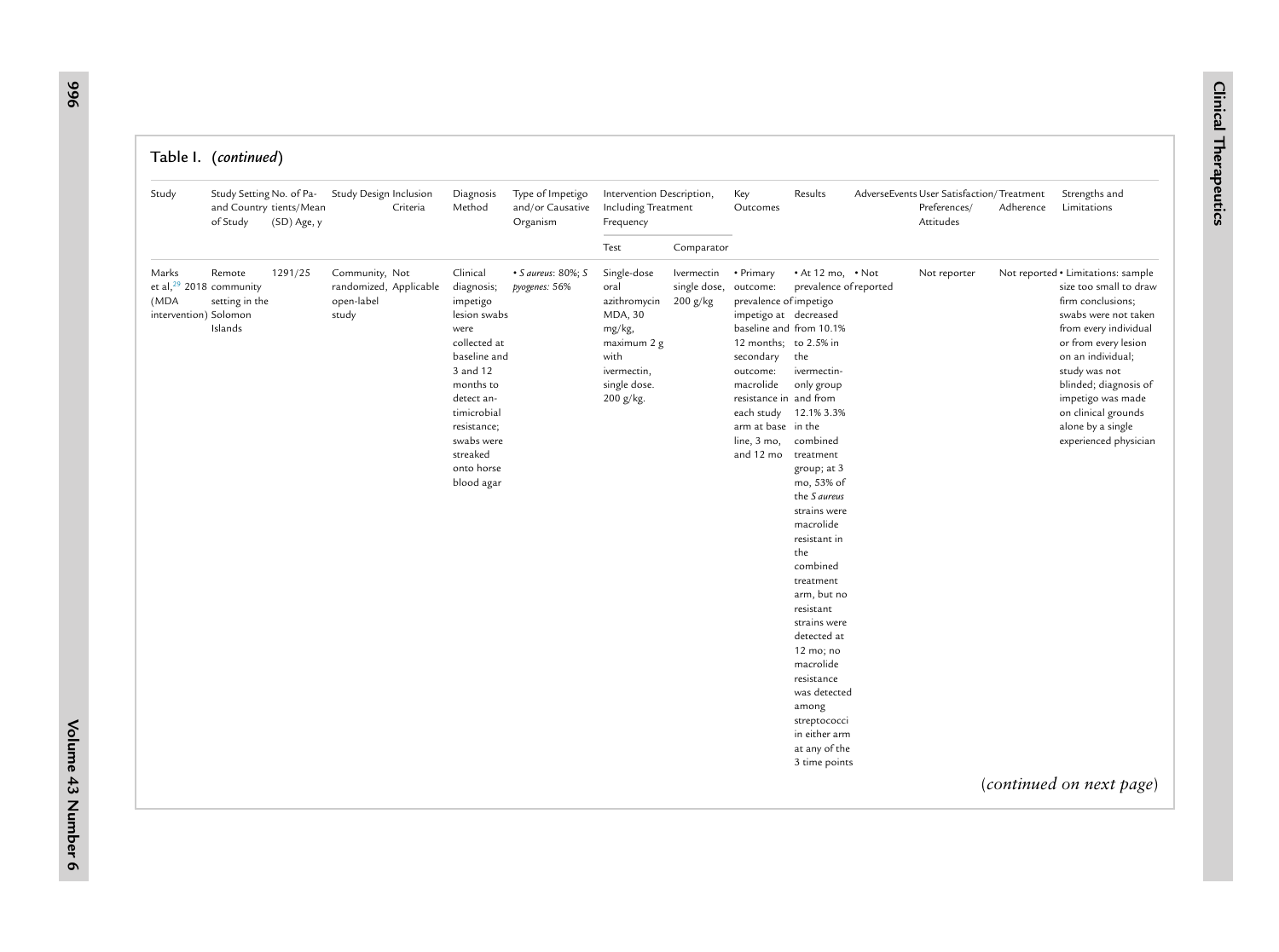| Test<br>Comparator<br>Marks<br>1291/25<br>Community, Not<br>Clinical<br>• S aureus: 80%; S<br>Single-dose<br>• Primary<br>$\cdot$ At 12 mo, $\cdot$ Not<br>Remote<br>Ivermectin<br>Not reporter<br>et al, $^{29}$ 2018 community<br>randomized, Applicable<br>diagnosis;<br>oral<br>single dose,<br>outcome:<br>prevalence of reported<br>pyogenes: 56%<br>setting in the<br>open-label<br>azithromycin<br>$200$ g/kg<br>prevalence of impetigo<br>(MDA<br>impetigo<br>intervention) Solomon<br>study<br>lesion swabs<br>MDA, 30<br>impetigo at decreased<br>Islands<br>baseline and from 10.1%<br>mg/kg,<br>were<br>collected at<br>12 months; to 2.5% in<br>maximum 2 g<br>baseline and<br>the<br>with<br>secondary<br>3 and 12<br>ivermectin,<br>outcome:<br>ivermectin-<br>months to<br>single dose.<br>macrolide<br>only group | Not reported • Limitations: sample<br>size too small to draw<br>firm conclusions;<br>swabs were not taken                                                                                              |
|-------------------------------------------------------------------------------------------------------------------------------------------------------------------------------------------------------------------------------------------------------------------------------------------------------------------------------------------------------------------------------------------------------------------------------------------------------------------------------------------------------------------------------------------------------------------------------------------------------------------------------------------------------------------------------------------------------------------------------------------------------------------------------------------------------------------------------------|--------------------------------------------------------------------------------------------------------------------------------------------------------------------------------------------------------|
|                                                                                                                                                                                                                                                                                                                                                                                                                                                                                                                                                                                                                                                                                                                                                                                                                                     |                                                                                                                                                                                                        |
| detect an-<br>200 g/kg.<br>resistance in and from<br>timicrobial<br>each study 12.1% 3.3%<br>arm at base in the<br>resistance;<br>combined<br>swabs were<br>line, 3 mo,<br>streaked<br>and 12 mo<br>treatment<br>onto horse<br>group; at 3<br>blood agar<br>mo, 53% of<br>the S aureus<br>strains were<br>macrolide<br>resistant in<br>the<br>combined<br>treatment<br>arm, but no<br>resistant<br>strains were<br>detected at<br>12 mo; no<br>macrolide<br>resistance<br>was detected<br>among<br>streptococci<br>in either arm<br>at any of the<br>3 time points                                                                                                                                                                                                                                                                  | from every individual<br>or from every lesion<br>on an individual;<br>study was not<br>blinded; diagnosis of<br>impetigo was made<br>on clinical grounds<br>alone by a single<br>experienced physician |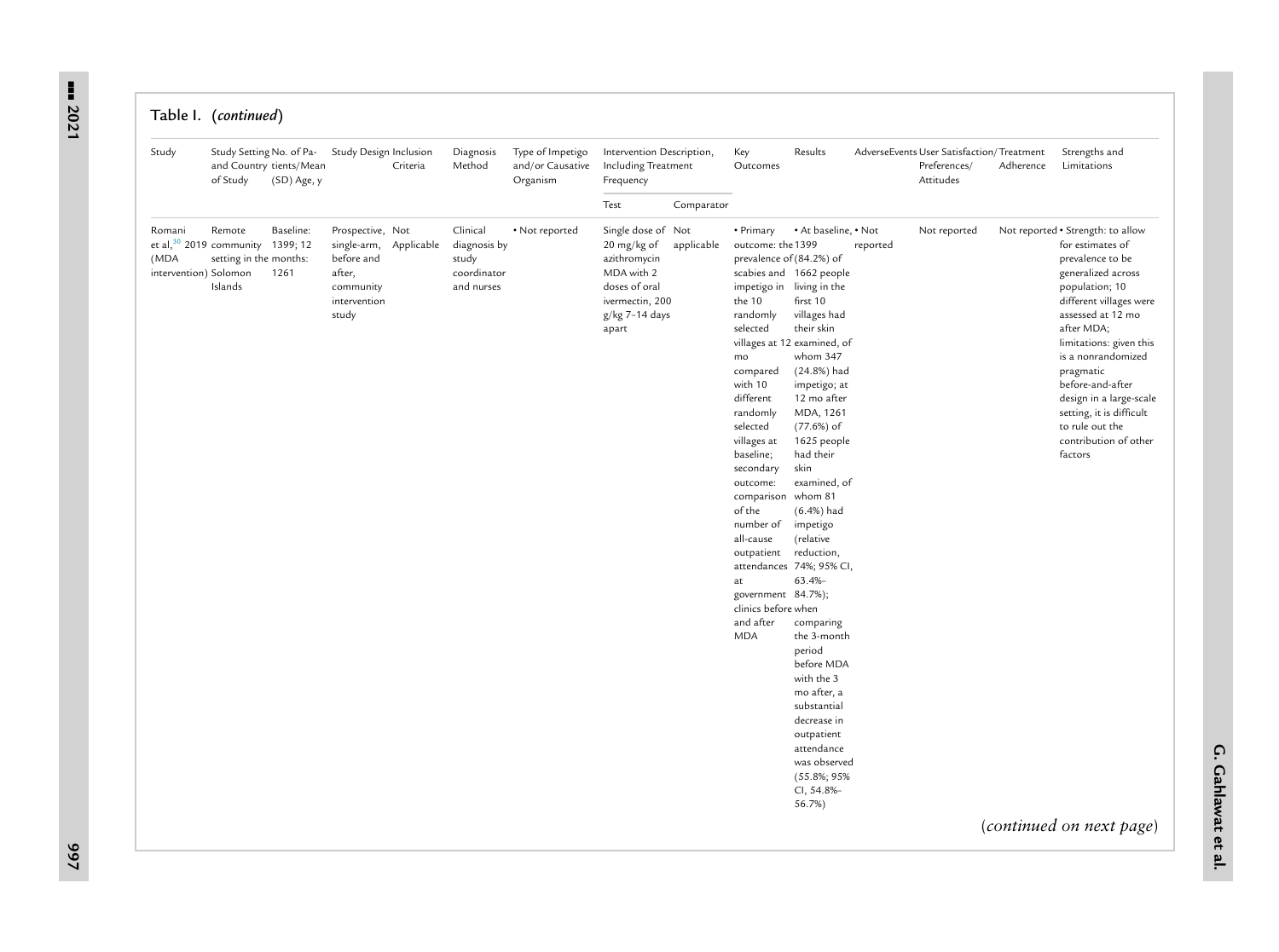#### Table I. (*continued*)

| Study                                   | Study Setting No. of Pa-<br>of Study                                                | and Country tients/Mean<br>(SD) Age, y | Study Design Inclusion                                                                                   | Criteria | Diagnosis<br>Method                                            | Type of Impetigo<br>and/or Causative<br>Organism | Intervention Description,<br>Including Treatment<br>Frequency                                                                  |            | Key<br>Outcomes                                                                                                                                                                                                                                                                                                                                                                         | Results                                                                                                                                                                                                                                                                                                                                                                                                                                                                                                                                                                              |          | AdverseEvents User Satisfaction/Treatment<br>Preferences/<br>Attitudes | Adherence | Strengths and<br>Limitations                                                                                                                                                                                                                                                                                                                                                                                |
|-----------------------------------------|-------------------------------------------------------------------------------------|----------------------------------------|----------------------------------------------------------------------------------------------------------|----------|----------------------------------------------------------------|--------------------------------------------------|--------------------------------------------------------------------------------------------------------------------------------|------------|-----------------------------------------------------------------------------------------------------------------------------------------------------------------------------------------------------------------------------------------------------------------------------------------------------------------------------------------------------------------------------------------|--------------------------------------------------------------------------------------------------------------------------------------------------------------------------------------------------------------------------------------------------------------------------------------------------------------------------------------------------------------------------------------------------------------------------------------------------------------------------------------------------------------------------------------------------------------------------------------|----------|------------------------------------------------------------------------|-----------|-------------------------------------------------------------------------------------------------------------------------------------------------------------------------------------------------------------------------------------------------------------------------------------------------------------------------------------------------------------------------------------------------------------|
|                                         |                                                                                     |                                        |                                                                                                          |          |                                                                |                                                  | Test                                                                                                                           | Comparator |                                                                                                                                                                                                                                                                                                                                                                                         |                                                                                                                                                                                                                                                                                                                                                                                                                                                                                                                                                                                      |          |                                                                        |           |                                                                                                                                                                                                                                                                                                                                                                                                             |
| Romani<br>(MDA<br>intervention) Solomon | Remote<br>et al, $30\,2019$ community 1399; 12<br>setting in the months:<br>Islands | Baseline:<br>1261                      | Prospective, Not<br>single-arm, Applicable<br>before and<br>after,<br>community<br>intervention<br>study |          | Clinical<br>diagnosis by<br>study<br>coordinator<br>and nurses | • Not reported                                   | Single dose of Not<br>20 mg/kg of<br>azithromycin<br>MDA with 2<br>doses of oral<br>ivermectin, 200<br>g/kg 7-14 days<br>apart | applicable | • Primary<br>outcome: the 1399<br>prevalence of (84.2%) of<br>impetigo in living in the<br>the 10<br>randomly<br>selected<br>mo<br>compared<br>with 10<br>different<br>randomly<br>selected<br>villages at<br>baseline;<br>secondary<br>outcome:<br>comparison<br>of the<br>number of<br>all-cause<br>outpatient<br>at<br>government 84.7%);<br>clinics before when<br>and after<br>MDA | . At baseline, . Not<br>scabies and 1662 people<br>first 10<br>villages had<br>their skin<br>villages at 12 examined, of<br>whom 347<br>(24.8%) had<br>impetigo; at<br>12 mo after<br>MDA, 1261<br>$(77.6%)$ of<br>1625 people<br>had their<br>skin<br>examined, of<br>whom 81<br>$(6.4%)$ had<br>impetigo<br>(relative<br>reduction,<br>attendances 74%; 95% CI,<br>$63.4% -$<br>comparing<br>the 3-month<br>period<br>before MDA<br>with the 3<br>mo after, a<br>substantial<br>decrease in<br>outpatient<br>attendance<br>was observed<br>$(55.8\%; 95\%$<br>CI, 54.8%-<br>56.7%) | reported | Not reported                                                           |           | Not reported . Strength: to allow<br>for estimates of<br>prevalence to be<br>generalized across<br>population; 10<br>different villages were<br>assessed at 12 mo<br>after MDA;<br>limitations: given this<br>is a nonrandomized<br>pragmatic<br>before-and-after<br>design in a large-scale<br>setting, it is difficult<br>to rule out the<br>contribution of other<br>factors<br>(continued on next page) |
|                                         |                                                                                     |                                        |                                                                                                          |          |                                                                |                                                  |                                                                                                                                |            |                                                                                                                                                                                                                                                                                                                                                                                         |                                                                                                                                                                                                                                                                                                                                                                                                                                                                                                                                                                                      |          |                                                                        |           |                                                                                                                                                                                                                                                                                                                                                                                                             |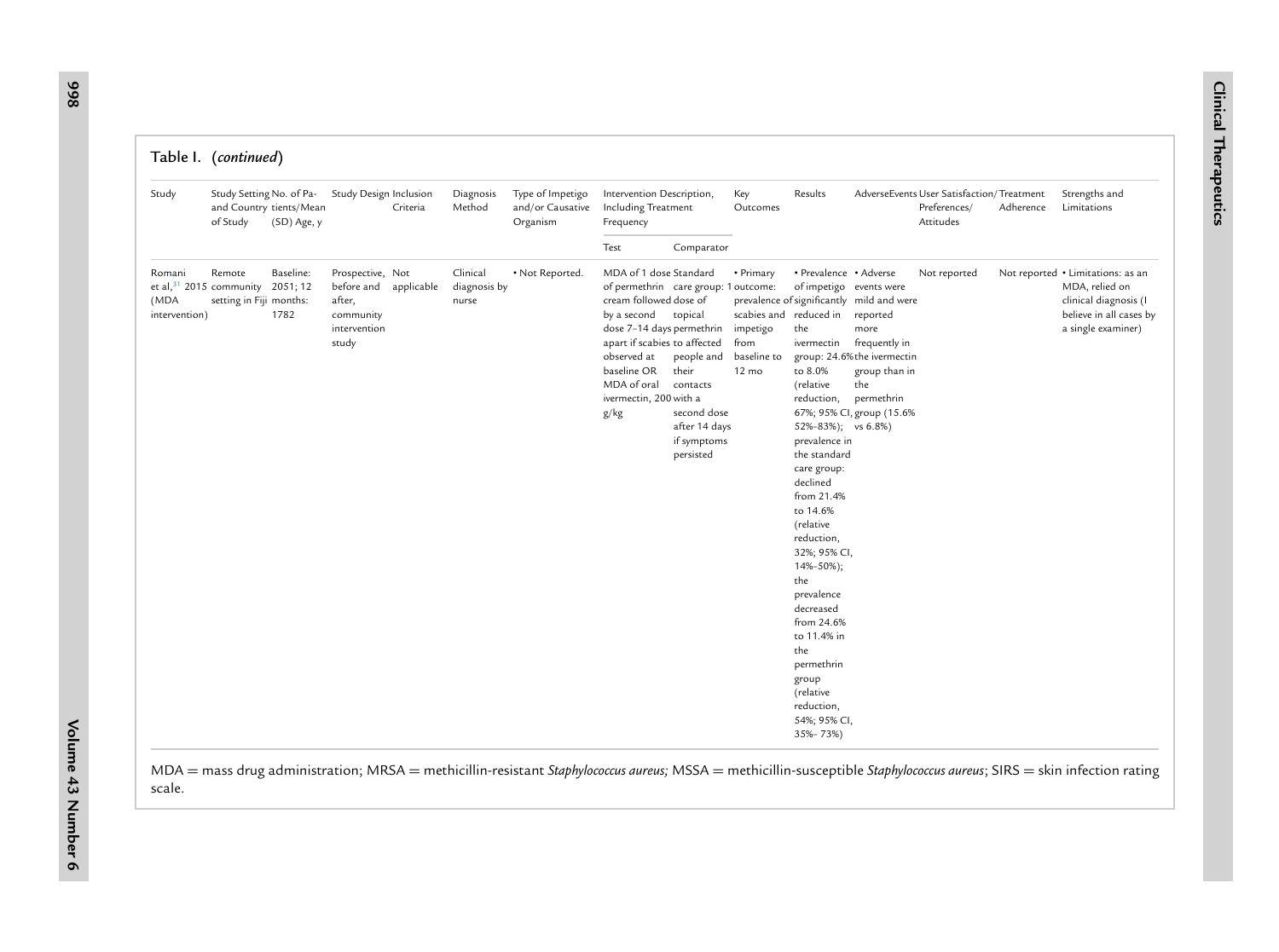| Study                           | Study Setting No. of Pa-<br>of Study                            | and Country tients/Mean<br>(SD) Age, y | Study Design Inclusion                                                                    | Criteria | Diagnosis<br>Method               | Type of Impetigo<br>and/or Causative<br>Organism | Intervention Description,<br>Including Treatment<br>Frequency                                                                                                                                                                                               |                                                                                             | Key<br>Outcomes                                                                           | Results                                                                                                                                                                                                                                                                                                                                                                                                                                    |                                                                                                                                                                                 | AdverseEvents User Satisfaction/Treatment<br>Preferences/<br>Attitudes | Adherence | Strengths and<br>Limitations                                                                                                  |
|---------------------------------|-----------------------------------------------------------------|----------------------------------------|-------------------------------------------------------------------------------------------|----------|-----------------------------------|--------------------------------------------------|-------------------------------------------------------------------------------------------------------------------------------------------------------------------------------------------------------------------------------------------------------------|---------------------------------------------------------------------------------------------|-------------------------------------------------------------------------------------------|--------------------------------------------------------------------------------------------------------------------------------------------------------------------------------------------------------------------------------------------------------------------------------------------------------------------------------------------------------------------------------------------------------------------------------------------|---------------------------------------------------------------------------------------------------------------------------------------------------------------------------------|------------------------------------------------------------------------|-----------|-------------------------------------------------------------------------------------------------------------------------------|
|                                 |                                                                 |                                        |                                                                                           |          |                                   |                                                  | Test                                                                                                                                                                                                                                                        | Comparator                                                                                  |                                                                                           |                                                                                                                                                                                                                                                                                                                                                                                                                                            |                                                                                                                                                                                 |                                                                        |           |                                                                                                                               |
| Romani<br>(MDA<br>intervention) | Remote<br>et al, $31$ 2015 community<br>setting in Fiji months: | Baseline:<br>2051; 12<br>1782          | Prospective, Not<br>before and applicable<br>after,<br>community<br>intervention<br>study |          | Clinical<br>diagnosis by<br>nurse | • Not Reported.                                  | MDA of 1 dose Standard<br>of permethrin care group: 1 outcome:<br>cream followed dose of<br>by a second topical<br>dose 7-14 days permethrin<br>apart if scabies to affected<br>observed at<br>baseline OR<br>MDA of oral<br>ivermectin, 200 with a<br>g/kg | people and<br>their<br>contacts<br>second dose<br>after 14 days<br>if symptoms<br>persisted | • Primary<br>scabies and reduced in<br>impetigo<br>from<br>baseline to<br>$12 \text{ mo}$ | • Prevalence • Adverse<br>of impetigo events were<br>the<br>ivermectin<br>to 8.0%<br>(relative<br>reduction,<br>52%-83%); vs 6.8%)<br>prevalence in<br>the standard<br>care group:<br>declined<br>from 21.4%<br>to 14.6%<br>(relative<br>reduction,<br>32%; 95% CI,<br>$14\% - 50\%$ ;<br>the<br>prevalence<br>decreased<br>from 24.6%<br>to 11.4% in<br>the<br>permethrin<br>group<br>(relative<br>reduction,<br>54%; 95% CI,<br>35%-73%) | prevalence of significantly mild and were<br>reported<br>more<br>frequently in<br>group: 24.6%the ivermectin<br>group than in<br>the<br>permethrin<br>67%; 95% CI, group (15.6% | Not reported                                                           |           | Not reported • Limitations: as an<br>MDA, relied on<br>clinical diagnosis (I<br>believe in all cases by<br>a single examiner) |

MDA <sup>=</sup> mass drug administration; MRSA <sup>=</sup> methicillin-resistant *Staphylococcus aureus;* MSSA <sup>=</sup> methicillin-susceptible *Staphylococcus aureus*; SIRS <sup>=</sup> skin infection rating scale.

**6**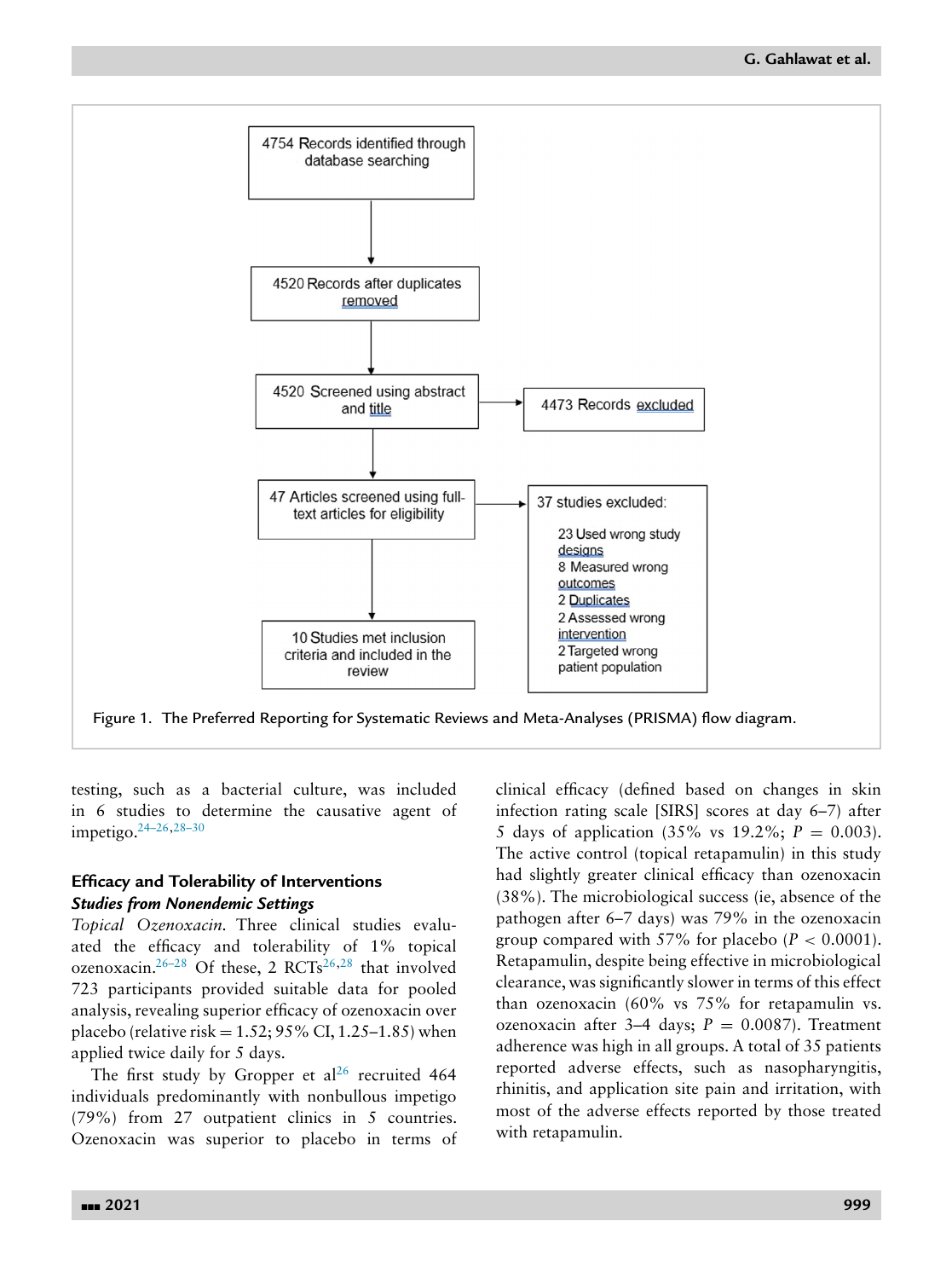<span id="page-13-0"></span>

Figure 1. The Preferred Reporting for Systematic Reviews and Meta-Analyses (PRISMA) flow diagram.

testing, such as a bacterial culture, was included in 6 studies to determine the causative agent of impetigo[.24–26,28–30](#page-19-0)

# **Efficacy and Tolerability of Interventions** *Studies from Nonendemic Settings*

*Topical Ozenoxacin.* Three clinical studies evaluated the efficacy and tolerability of 1% topical ozenoxacin.<sup>26–28</sup> Of these, 2 RCTs<sup>[26,28](#page-19-0)</sup> that involved 723 participants provided suitable data for pooled analysis, revealing superior efficacy of ozenoxacin over placebo (relative risk =  $1.52$ ;  $95\%$  CI,  $1.25-1.85$ ) when applied twice daily for 5 days.

The first study by Gropper et al<sup>[26](#page-19-0)</sup> recruited 464 individuals predominantly with nonbullous impetigo (79%) from 27 outpatient clinics in 5 countries. Ozenoxacin was superior to placebo in terms of clinical efficacy (defined based on changes in skin infection rating scale [SIRS] scores at day 6–7) after 5 days of application  $(35\% \text{ vs } 19.2\%; P = 0.003)$ . The active control (topical retapamulin) in this study had slightly greater clinical efficacy than ozenoxacin (38%). The microbiological success (ie, absence of the pathogen after 6–7 days) was 79% in the ozenoxacin group compared with 57% for placebo  $(P < 0.0001)$ . Retapamulin, despite being effective in microbiological clearance, was significantly slower in terms of this effect than ozenoxacin (60% vs 75% for retapamulin vs. ozenoxacin after 3–4 days;  $P = 0.0087$ ). Treatment adherence was high in all groups. A total of 35 patients reported adverse effects, such as nasopharyngitis, rhinitis, and application site pain and irritation, with most of the adverse effects reported by those treated with retapamulin.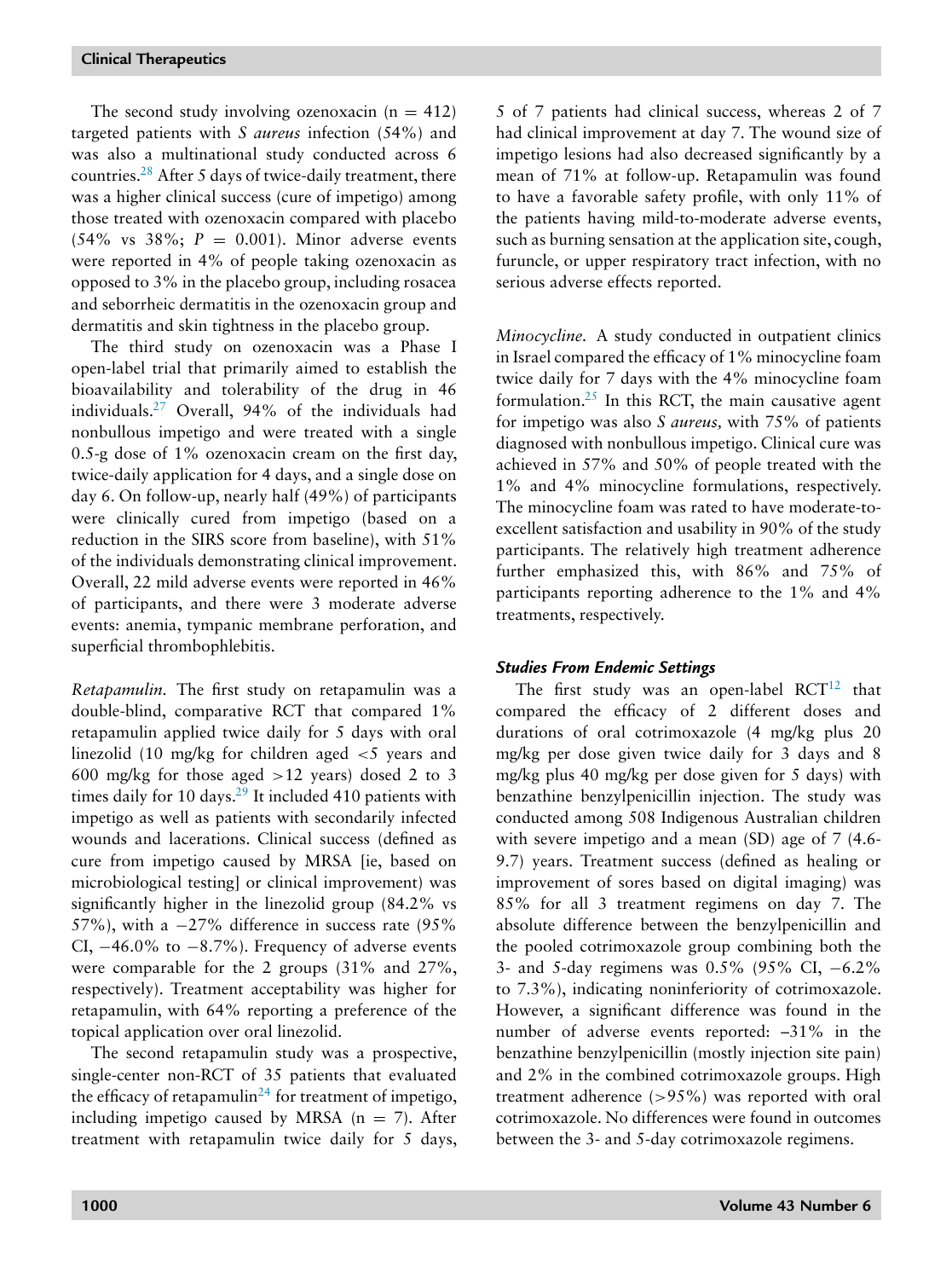The second study involving ozenoxacin  $(n = 412)$ targeted patients with *S aureus* infection (54%) and was also a multinational study conducted across 6 countries[.28](#page-19-0) After 5 days of twice-daily treatment, there was a higher clinical success (cure of impetigo) among those treated with ozenoxacin compared with placebo  $(54\% \text{ vs } 38\%; P = 0.001)$ . Minor adverse events were reported in 4% of people taking ozenoxacin as opposed to 3% in the placebo group, including rosacea and seborrheic dermatitis in the ozenoxacin group and dermatitis and skin tightness in the placebo group.

The third study on ozenoxacin was a Phase I open-label trial that primarily aimed to establish the bioavailability and tolerability of the drug in 46 individuals[.27](#page-19-0) Overall, 94% of the individuals had nonbullous impetigo and were treated with a single 0.5-g dose of 1% ozenoxacin cream on the first day, twice-daily application for 4 days, and a single dose on day 6. On follow-up, nearly half (49%) of participants were clinically cured from impetigo (based on a reduction in the SIRS score from baseline), with 51% of the individuals demonstrating clinical improvement. Overall, 22 mild adverse events were reported in 46% of participants, and there were 3 moderate adverse events: anemia, tympanic membrane perforation, and superficial thrombophlebitis.

*Retapamulin.* The first study on retapamulin was a double-blind, comparative RCT that compared 1% retapamulin applied twice daily for 5 days with oral linezolid (10 mg/kg for children aged <5 years and 600 mg/kg for those aged  $>12$  years) dosed 2 to 3 times daily for 10 days. $29$  It included 410 patients with impetigo as well as patients with secondarily infected wounds and lacerations. Clinical success (defined as cure from impetigo caused by MRSA [ie, based on microbiological testing] or clinical improvement) was significantly higher in the linezolid group (84.2% vs 57%), with a  $-27\%$  difference in success rate (95%) CI,  $-46.0\%$  to  $-8.7\%$ ). Frequency of adverse events were comparable for the 2 groups (31% and 27%, respectively). Treatment acceptability was higher for retapamulin, with 64% reporting a preference of the topical application over oral linezolid.

The second retapamulin study was a prospective, single-center non-RCT of 35 patients that evaluated the efficacy of retapamulin<sup>[24](#page-19-0)</sup> for treatment of impetigo, including impetigo caused by MRSA  $(n = 7)$ . After treatment with retapamulin twice daily for 5 days, 5 of 7 patients had clinical success, whereas 2 of 7 had clinical improvement at day 7. The wound size of impetigo lesions had also decreased significantly by a mean of 71% at follow-up. Retapamulin was found to have a favorable safety profile, with only 11% of the patients having mild-to-moderate adverse events, such as burning sensation at the application site, cough, furuncle, or upper respiratory tract infection, with no serious adverse effects reported.

*Minocycline.* A study conducted in outpatient clinics in Israel compared the efficacy of 1% minocycline foam twice daily for 7 days with the 4% minocycline foam formulation. $25$  In this RCT, the main causative agent for impetigo was also *S aureus,* with 75% of patients diagnosed with nonbullous impetigo. Clinical cure was achieved in 57% and 50% of people treated with the 1% and 4% minocycline formulations, respectively. The minocycline foam was rated to have moderate-toexcellent satisfaction and usability in 90% of the study participants. The relatively high treatment adherence further emphasized this, with 86% and 75% of participants reporting adherence to the 1% and 4% treatments, respectively.

# *Studies From Endemic Settings*

The first study was an open-label  $RCT^{12}$  $RCT^{12}$  $RCT^{12}$  that compared the efficacy of 2 different doses and durations of oral cotrimoxazole (4 mg/kg plus 20 mg/kg per dose given twice daily for 3 days and 8 mg/kg plus 40 mg/kg per dose given for 5 days) with benzathine benzylpenicillin injection. The study was conducted among 508 Indigenous Australian children with severe impetigo and a mean (SD) age of 7 (4.6- 9.7) years. Treatment success (defined as healing or improvement of sores based on digital imaging) was 85% for all 3 treatment regimens on day 7. The absolute difference between the benzylpenicillin and the pooled cotrimoxazole group combining both the 3- and 5-day regimens was 0.5% (95% CI, −6.2% to 7.3%), indicating noninferiority of cotrimoxazole. However, a significant difference was found in the number of adverse events reported: –31% in the benzathine benzylpenicillin (mostly injection site pain) and 2% in the combined cotrimoxazole groups. High treatment adherence (>95%) was reported with oral cotrimoxazole. No differences were found in outcomes between the 3- and 5-day cotrimoxazole regimens.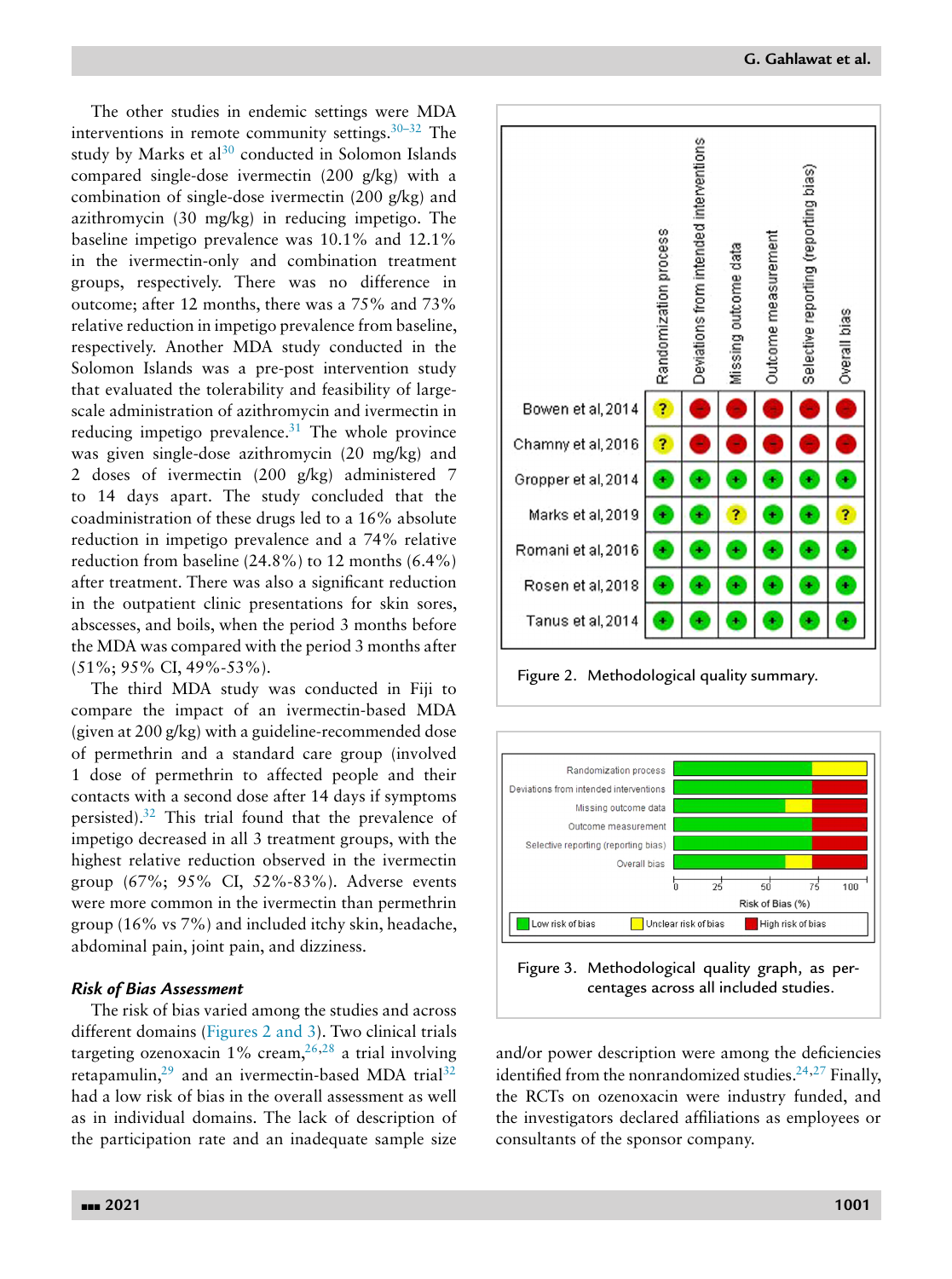**G. Gahlawat et al.**

The other studies in endemic settings were MDA interventions in remote community settings. $30-32$  The study by Marks et al $30$  conducted in Solomon Islands compared single-dose ivermectin (200 g/kg) with a combination of single-dose ivermectin (200 g/kg) and azithromycin (30 mg/kg) in reducing impetigo. The baseline impetigo prevalence was 10.1% and 12.1% in the ivermectin-only and combination treatment groups, respectively. There was no difference in outcome; after 12 months, there was a 75% and 73% relative reduction in impetigo prevalence from baseline, respectively. Another MDA study conducted in the Solomon Islands was a pre-post intervention study that evaluated the tolerability and feasibility of largescale administration of azithromycin and ivermectin in reducing impetigo prevalence. $31$  The whole province was given single-dose azithromycin (20 mg/kg) and 2 doses of ivermectin (200 g/kg) administered 7 to 14 days apart. The study concluded that the coadministration of these drugs led to a 16% absolute reduction in impetigo prevalence and a 74% relative reduction from baseline (24.8%) to 12 months (6.4%) after treatment. There was also a significant reduction in the outpatient clinic presentations for skin sores, abscesses, and boils, when the period 3 months before the MDA was compared with the period 3 months after (51%; 95% CI, 49%-53%).

The third MDA study was conducted in Fiji to compare the impact of an ivermectin-based MDA (given at 200 g/kg) with a guideline-recommended dose of permethrin and a standard care group (involved 1 dose of permethrin to affected people and their contacts with a second dose after 14 days if symptoms persisted)[.32](#page-19-0) This trial found that the prevalence of impetigo decreased in all 3 treatment groups, with the highest relative reduction observed in the ivermectin group (67%; 95% CI, 52%-83%). Adverse events were more common in the ivermectin than permethrin group (16% vs 7%) and included itchy skin, headache, abdominal pain, joint pain, and dizziness.

# *Risk of Bias Assessment*

The risk of bias varied among the studies and across different domains (Figures 2 and 3). Two clinical trials targeting ozenoxacin  $1\%$  cream,  $26,28$  a trial involving retapamulin, $29$  and an ivermectin-based MDA trial<sup>[32](#page-19-0)</sup> had a low risk of bias in the overall assessment as well as in individual domains. The lack of description of the participation rate and an inadequate sample size



Figure 2. Methodological quality summary.



and/or power description were among the deficiencies identified from the nonrandomized studies. $24,27$  Finally, the RCTs on ozenoxacin were industry funded, and the investigators declared affiliations as employees or consultants of the sponsor company.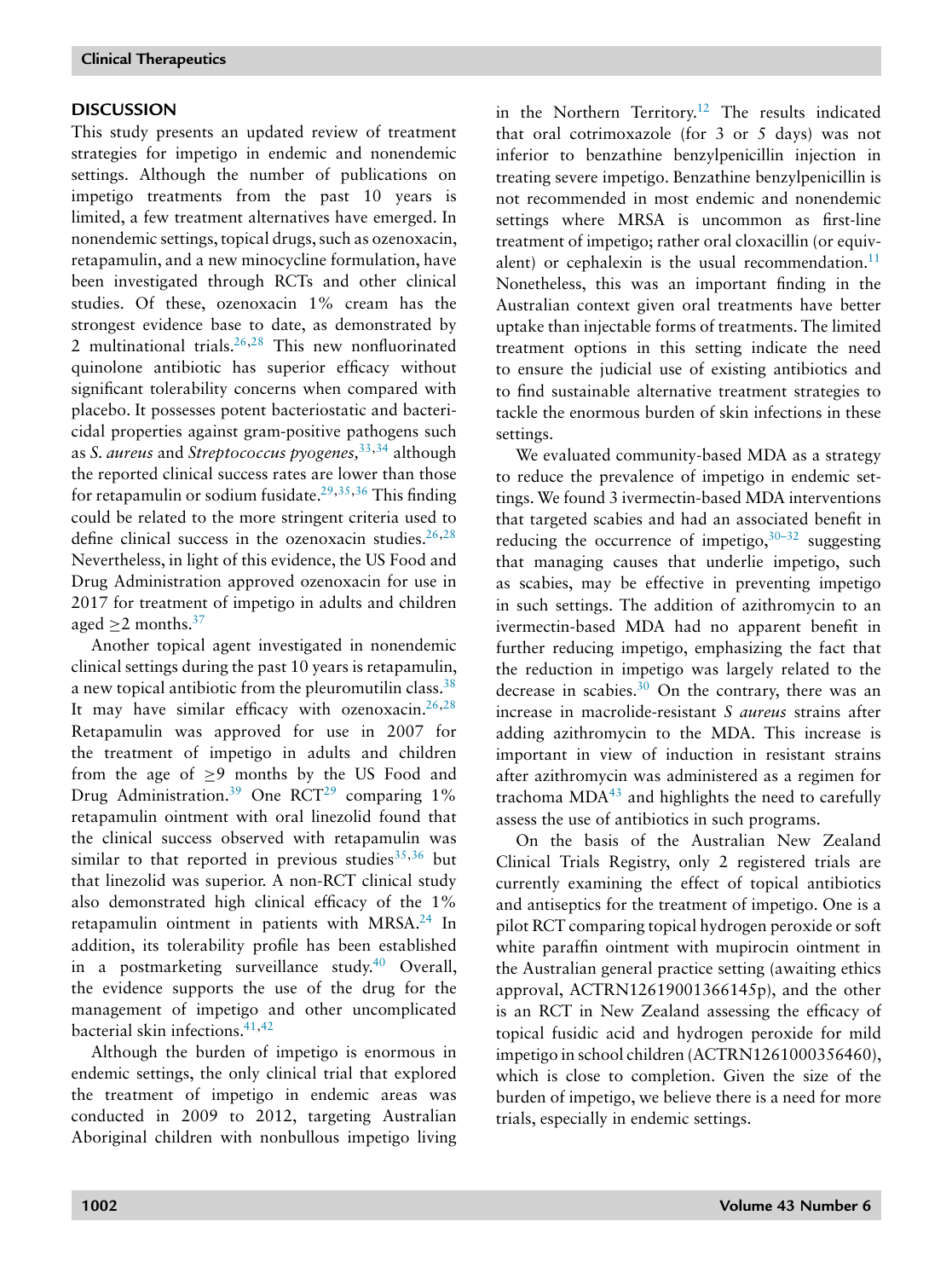# **DISCUSSION**

This study presents an updated review of treatment strategies for impetigo in endemic and nonendemic settings. Although the number of publications on impetigo treatments from the past 10 years is limited, a few treatment alternatives have emerged. In nonendemic settings, topical drugs, such as ozenoxacin, retapamulin, and a new minocycline formulation, have been investigated through RCTs and other clinical studies. Of these, ozenoxacin 1% cream has the strongest evidence base to date, as demonstrated by 2 multinational trials[.26,28](#page-19-0) This new nonfluorinated quinolone antibiotic has superior efficacy without significant tolerability concerns when compared with placebo. It possesses potent bacteriostatic and bactericidal properties against gram-positive pathogens such as *S. aureus* and *Streptococcus pyogenes,*[33,34](#page-19-0) although the reported clinical success rates are lower than those for retapamulin or sodium fusidate.<sup>29,35,36</sup> This finding could be related to the more stringent criteria used to define clinical success in the ozenoxacin studies. $26,28$ Nevertheless, in light of this evidence, the US Food and Drug Administration approved ozenoxacin for use in 2017 for treatment of impetigo in adults and children aged  $>2$  months.<sup>37</sup>

Another topical agent investigated in nonendemic clinical settings during the past 10 years is retapamulin, a new topical antibiotic from the pleuromutilin class[.38](#page-19-0) It may have similar efficacy with ozenoxacin.<sup>26,28</sup> Retapamulin was approved for use in 2007 for the treatment of impetigo in adults and children from the age of  $\geq$ 9 months by the US Food and Drug Administration.<sup>39</sup> One RCT<sup>[29](#page-19-0)</sup> comparing 1% retapamulin ointment with oral linezolid found that the clinical success observed with retapamulin was similar to that reported in previous studies  $35,36$  but that linezolid was superior. A non-RCT clinical study also demonstrated high clinical efficacy of the 1% retapamulin ointment in patients with MRSA.<sup>24</sup> In addition, its tolerability profile has been established in a postmarketing surveillance study.<sup>40</sup> Overall, the evidence supports the use of the drug for the management of impetigo and other uncomplicated bacterial skin infections[.41,42](#page-19-0)

Although the burden of impetigo is enormous in endemic settings, the only clinical trial that explored the treatment of impetigo in endemic areas was conducted in 2009 to 2012, targeting Australian Aboriginal children with nonbullous impetigo living in the Northern Territory.<sup>12</sup> The results indicated that oral cotrimoxazole (for 3 or 5 days) was not inferior to benzathine benzylpenicillin injection in treating severe impetigo. Benzathine benzylpenicillin is not recommended in most endemic and nonendemic settings where MRSA is uncommon as first-line treatment of impetigo; rather oral cloxacillin (or equivalent) or cephalexin is the usual recommendation. $11$ Nonetheless, this was an important finding in the Australian context given oral treatments have better uptake than injectable forms of treatments. The limited treatment options in this setting indicate the need to ensure the judicial use of existing antibiotics and to find sustainable alternative treatment strategies to tackle the enormous burden of skin infections in these settings.

We evaluated community-based MDA as a strategy to reduce the prevalence of impetigo in endemic settings. We found 3 ivermectin-based MDA interventions that targeted scabies and had an associated benefit in reducing the occurrence of impetigo,  $30-32$  suggesting that managing causes that underlie impetigo, such as scabies, may be effective in preventing impetigo in such settings. The addition of azithromycin to an ivermectin-based MDA had no apparent benefit in further reducing impetigo, emphasizing the fact that the reduction in impetigo was largely related to the decrease in scabies[.30](#page-19-0) On the contrary, there was an increase in macrolide-resistant *S aureus* strains after adding azithromycin to the MDA. This increase is important in view of induction in resistant strains after azithromycin was administered as a regimen for trachoma  $MDA<sup>43</sup>$  $MDA<sup>43</sup>$  $MDA<sup>43</sup>$  and highlights the need to carefully assess the use of antibiotics in such programs.

On the basis of the Australian New Zealand Clinical Trials Registry, only 2 registered trials are currently examining the effect of topical antibiotics and antiseptics for the treatment of impetigo. One is a pilot RCT comparing topical hydrogen peroxide or soft white paraffin ointment with mupirocin ointment in the Australian general practice setting (awaiting ethics approval, ACTRN12619001366145p), and the other is an RCT in New Zealand assessing the efficacy of topical fusidic acid and hydrogen peroxide for mild impetigo in school children (ACTRN1261000356460), which is close to completion. Given the size of the burden of impetigo, we believe there is a need for more trials, especially in endemic settings.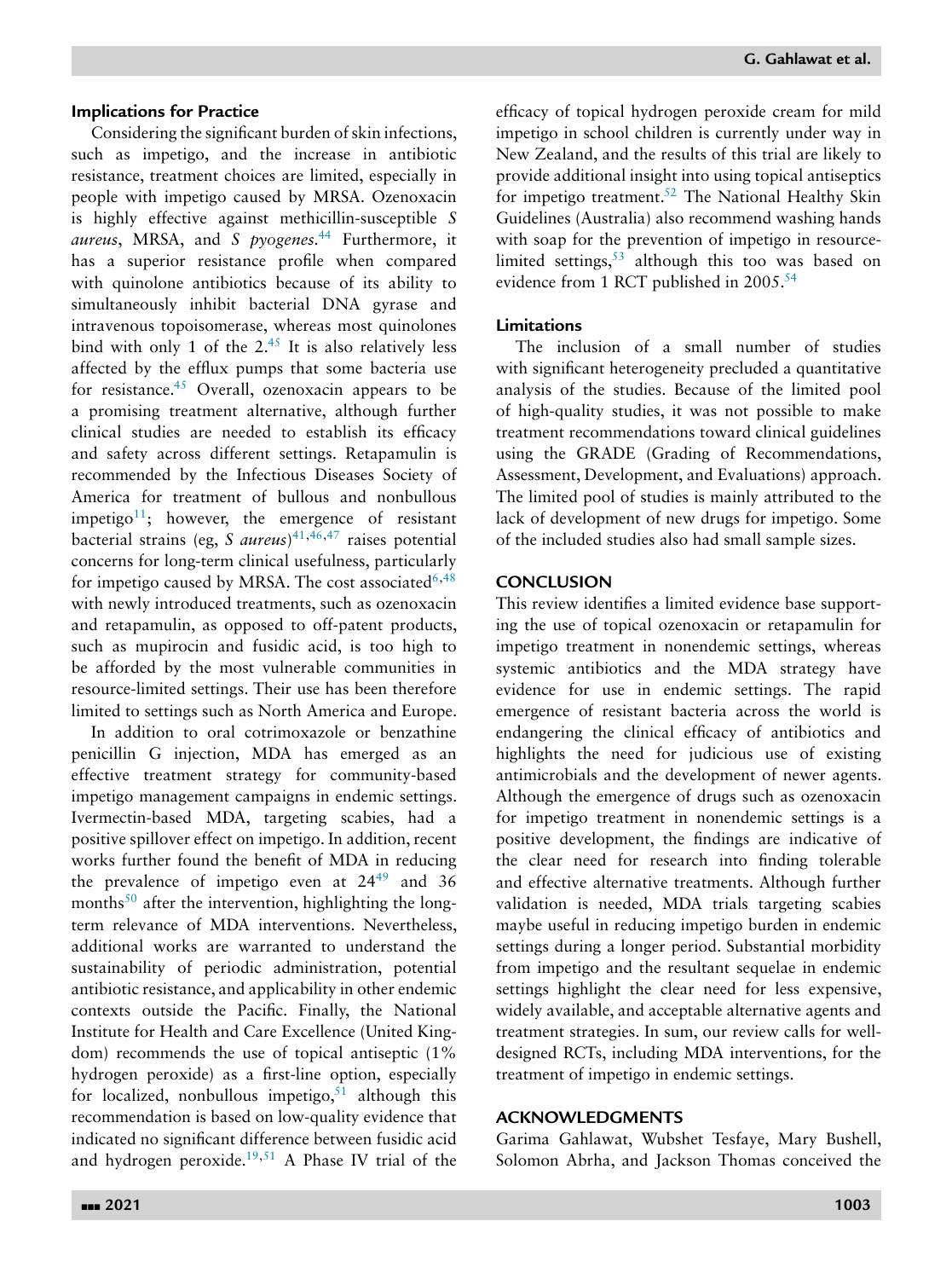### **Implications for Practice**

Considering the significant burden of skin infections, such as impetigo, and the increase in antibiotic resistance, treatment choices are limited, especially in people with impetigo caused by MRSA. Ozenoxacin is highly effective against methicillin-susceptible *S aureus*, MRSA, and *S pyogenes.*[44](#page-20-0) Furthermore, it has a superior resistance profile when compared with quinolone antibiotics because of its ability to simultaneously inhibit bacterial DNA gyrase and intravenous topoisomerase, whereas most quinolones bind with only 1 of the  $2^{45}$  It is also relatively less affected by the efflux pumps that some bacteria use for resistance[.45](#page-20-0) Overall, ozenoxacin appears to be a promising treatment alternative, although further clinical studies are needed to establish its efficacy and safety across different settings. Retapamulin is recommended by the Infectious Diseases Society of America for treatment of bullous and nonbullous impetigo<sup>11</sup>; however, the emergence of resistant bacterial strains (eg, *S aureus*) [41](#page-19-0)[,46,47](#page-20-0) raises potential concerns for long-term clinical usefulness, particularly for impetigo caused by MRSA. The cost associated  $6,48$  $6,48$ with newly introduced treatments, such as ozenoxacin and retapamulin, as opposed to off-patent products, such as mupirocin and fusidic acid, is too high to be afforded by the most vulnerable communities in resource-limited settings. Their use has been therefore limited to settings such as North America and Europe.

In addition to oral cotrimoxazole or benzathine penicillin G injection, MDA has emerged as an effective treatment strategy for community-based impetigo management campaigns in endemic settings. Ivermectin-based MDA, targeting scabies, had a positive spillover effect on impetigo. In addition, recent works further found the benefit of MDA in reducing the prevalence of impetigo even at  $24^{49}$  $24^{49}$  $24^{49}$  and 36 months $50$  after the intervention, highlighting the longterm relevance of MDA interventions. Nevertheless, additional works are warranted to understand the sustainability of periodic administration, potential antibiotic resistance, and applicability in other endemic contexts outside the Pacific. Finally, the National Institute for Health and Care Excellence (United Kingdom) recommends the use of topical antiseptic (1% hydrogen peroxide) as a first-line option, especially for localized, nonbullous impetigo,  $51$  although this recommendation is based on low-quality evidence that indicated no significant difference between fusidic acid and hydrogen peroxide.<sup>19,[51](#page-20-0)</sup> A Phase IV trial of the

efficacy of topical hydrogen peroxide cream for mild impetigo in school children is currently under way in New Zealand, and the results of this trial are likely to provide additional insight into using topical antiseptics for impetigo treatment.<sup>52</sup> The National Healthy Skin Guidelines (Australia) also recommend washing hands with soap for the prevention of impetigo in resourcelimited settings,<sup>53</sup> although this too was based on evidence from 1 RCT published in 2005.<sup>54</sup>

# **Limitations**

The inclusion of a small number of studies with significant heterogeneity precluded a quantitative analysis of the studies. Because of the limited pool of high-quality studies, it was not possible to make treatment recommendations toward clinical guidelines using the GRADE (Grading of Recommendations, Assessment, Development, and Evaluations) approach. The limited pool of studies is mainly attributed to the lack of development of new drugs for impetigo. Some of the included studies also had small sample sizes.

## **CONCLUSION**

This review identifies a limited evidence base supporting the use of topical ozenoxacin or retapamulin for impetigo treatment in nonendemic settings, whereas systemic antibiotics and the MDA strategy have evidence for use in endemic settings. The rapid emergence of resistant bacteria across the world is endangering the clinical efficacy of antibiotics and highlights the need for judicious use of existing antimicrobials and the development of newer agents. Although the emergence of drugs such as ozenoxacin for impetigo treatment in nonendemic settings is a positive development, the findings are indicative of the clear need for research into finding tolerable and effective alternative treatments. Although further validation is needed, MDA trials targeting scabies maybe useful in reducing impetigo burden in endemic settings during a longer period. Substantial morbidity from impetigo and the resultant sequelae in endemic settings highlight the clear need for less expensive, widely available, and acceptable alternative agents and treatment strategies. In sum, our review calls for welldesigned RCTs, including MDA interventions, for the treatment of impetigo in endemic settings.

### **ACKNOWLEDGMENTS**

Garima Gahlawat, Wubshet Tesfaye, Mary Bushell, Solomon Abrha, and Jackson Thomas conceived the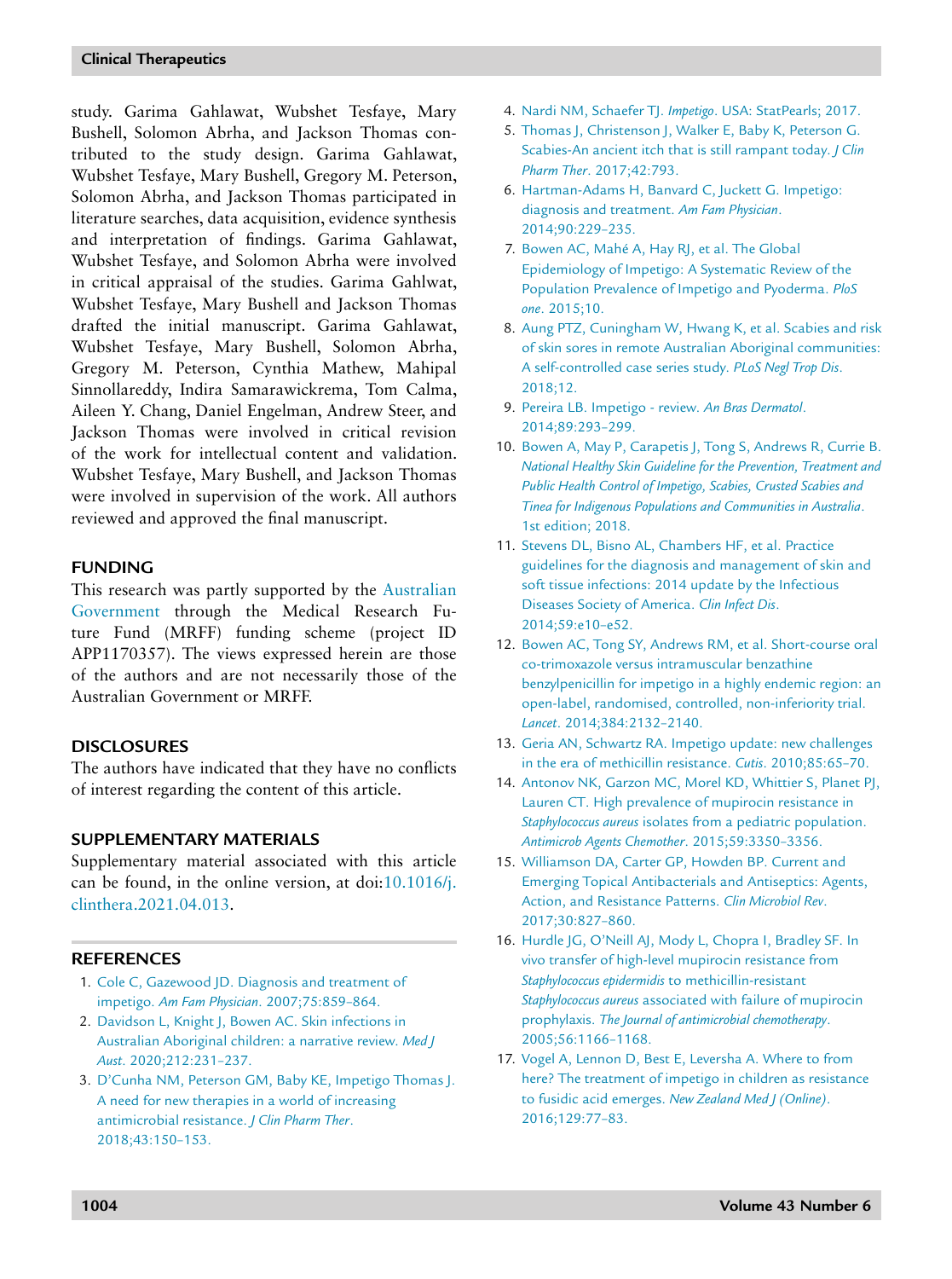<span id="page-18-0"></span>study. Garima Gahlawat, Wubshet Tesfaye, Mary Bushell, Solomon Abrha, and Jackson Thomas contributed to the study design. Garima Gahlawat, Wubshet Tesfaye, Mary Bushell, Gregory M. Peterson, Solomon Abrha, and Jackson Thomas participated in literature searches, data acquisition, evidence synthesis and interpretation of findings. Garima Gahlawat, Wubshet Tesfaye, and Solomon Abrha were involved in critical appraisal of the studies. Garima Gahlwat, Wubshet Tesfaye, Mary Bushell and Jackson Thomas drafted the initial manuscript. Garima Gahlawat, Wubshet Tesfaye, Mary Bushell, Solomon Abrha, Gregory M. Peterson, Cynthia Mathew, Mahipal Sinnollareddy, Indira Samarawickrema, Tom Calma, Aileen Y. Chang, Daniel Engelman, Andrew Steer, and Jackson Thomas were involved in critical revision of the work for intellectual content and validation. Wubshet Tesfaye, Mary Bushell, and Jackson Thomas were involved in supervision of the work. All authors reviewed and approved the final manuscript.

# **FUNDING**

This research was partly supported by the Australian [Government](https://doi.org/10.13039/100015539) through the Medical Research Future Fund (MRFF) funding scheme (project ID APP1170357). The views expressed herein are those of the authors and are not necessarily those of the Australian Government or MRFF.

### **DISCLOSURES**

The authors have indicated that they have no conflicts of interest regarding the content of this article.

# **SUPPLEMENTARY MATERIALS**

Supplementary material associated with this article can be found, in the online version, at doi:10.1016/j. [clinthera.2021.04.013.](https://doi.org/10.1016/j.clinthera.2021.04.013)

# **REFERENCES**

- 1. [Cole](http://refhub.elsevier.com/S0149-2918(21)00208-3/sbref0001) C, [Gazewood](http://refhub.elsevier.com/S0149-2918(21)00208-3/sbref0001) JD. Diagnosis and treatment of impetigo. *Am Fam Physician*. [2007;75:859–864.](http://refhub.elsevier.com/S0149-2918(21)00208-3/sbref0001)
- 2. [Davidson](http://refhub.elsevier.com/S0149-2918(21)00208-3/sbref0002) L, [Knight](http://refhub.elsevier.com/S0149-2918(21)00208-3/sbref0002) J, [Bowen](http://refhub.elsevier.com/S0149-2918(21)00208-3/sbref0002) AC. Skin infections in Australian Aboriginal children: a narrative review. *Med J Aust*. [2020;212:231–237.](http://refhub.elsevier.com/S0149-2918(21)00208-3/sbref0002)
- 3. [D'Cunha](http://refhub.elsevier.com/S0149-2918(21)00208-3/sbref0003) NM, [Peterson](http://refhub.elsevier.com/S0149-2918(21)00208-3/sbref0003) GM, [Baby](http://refhub.elsevier.com/S0149-2918(21)00208-3/sbref0003) KE, [Impetigo](http://refhub.elsevier.com/S0149-2918(21)00208-3/sbref0003) Thomas J. A need for new therapies in a world of increasing antimicrobial resistance. *J Clin Pharm Ther*. [2018;43:150–153.](http://refhub.elsevier.com/S0149-2918(21)00208-3/sbref0003)
- 4. [Nardi](http://refhub.elsevier.com/S0149-2918(21)00208-3/sbref0004) NM, [Schaefer](http://refhub.elsevier.com/S0149-2918(21)00208-3/sbref0004) TJ. *Impetigo*. USA: [StatPearls;](http://refhub.elsevier.com/S0149-2918(21)00208-3/sbref0004) 2017.
- 5. [Thomas](http://refhub.elsevier.com/S0149-2918(21)00208-3/sbref0005) J, [Christenson](http://refhub.elsevier.com/S0149-2918(21)00208-3/sbref0005) J, [Walker](http://refhub.elsevier.com/S0149-2918(21)00208-3/sbref0005) E, [Baby](http://refhub.elsevier.com/S0149-2918(21)00208-3/sbref0005) K, [Peterson](http://refhub.elsevier.com/S0149-2918(21)00208-3/sbref0005) G. Scabies-An ancient itch that is still rampant today. *J Clin Pharm Ther*. [2017;42:793.](http://refhub.elsevier.com/S0149-2918(21)00208-3/sbref0005)
- 6. [Hartman-Adams](http://refhub.elsevier.com/S0149-2918(21)00208-3/sbref0006) H, [Banvard](http://refhub.elsevier.com/S0149-2918(21)00208-3/sbref0006) C, [Juckett](http://refhub.elsevier.com/S0149-2918(21)00208-3/sbref0006) G. Impetigo: diagnosis and treatment. *Am Fam Physician*. [2014;90:229–235.](http://refhub.elsevier.com/S0149-2918(21)00208-3/sbref0006)
- 7. [Bowen](http://refhub.elsevier.com/S0149-2918(21)00208-3/sbref0007) AC, [Mahé A,](http://refhub.elsevier.com/S0149-2918(21)00208-3/sbref0007) [Hay](http://refhub.elsevier.com/S0149-2918(21)00208-3/sbref0007) RJ, et [al.](http://refhub.elsevier.com/S0149-2918(21)00208-3/sbref0007) The Global [Epidemiology](http://refhub.elsevier.com/S0149-2918(21)00208-3/sbref0007) of Impetigo: A Systematic Review of the Population Prevalence of Impetigo and Pyoderma. *PloS one*. 2015;10.
- 8. [Aung](http://refhub.elsevier.com/S0149-2918(21)00208-3/sbref0008) PTZ, [Cuningham](http://refhub.elsevier.com/S0149-2918(21)00208-3/sbref0008) W, [Hwang](http://refhub.elsevier.com/S0149-2918(21)00208-3/sbref0008) K, et [al.](http://refhub.elsevier.com/S0149-2918(21)00208-3/sbref0008) Scabies and risk of skin sores in remote Australian Aboriginal communities: A [self-controlled](http://refhub.elsevier.com/S0149-2918(21)00208-3/sbref0008) case series study. *PLoS Negl Trop Dis*. 2018;12.
- 9. [Pereira](http://refhub.elsevier.com/S0149-2918(21)00208-3/sbref0009) LB. Impetigo review. *An Bras Dermatol*. [2014;89:293–299.](http://refhub.elsevier.com/S0149-2918(21)00208-3/sbref0009)
- 10. [Bowen](http://refhub.elsevier.com/S0149-2918(21)00208-3/sbref0010) A, [May](http://refhub.elsevier.com/S0149-2918(21)00208-3/sbref0010) P, [Carapetis](http://refhub.elsevier.com/S0149-2918(21)00208-3/sbref0010) J, [Tong](http://refhub.elsevier.com/S0149-2918(21)00208-3/sbref0010) S, [Andrews](http://refhub.elsevier.com/S0149-2918(21)00208-3/sbref0010) R, [Currie](http://refhub.elsevier.com/S0149-2918(21)00208-3/sbref0010) B. *National Healthy Skin Guideline for the Prevention, Treatment and Public Health Control of Impetigo, Scabies, Crusted Scabies and Tinea for Indigenous Populations and [Communities](http://refhub.elsevier.com/S0149-2918(21)00208-3/sbref0010) in Australia*. 1st edition; 2018.
- 11. [Stevens](http://refhub.elsevier.com/S0149-2918(21)00208-3/sbref0011) DL, [Bisno](http://refhub.elsevier.com/S0149-2918(21)00208-3/sbref0011) AL, [Chambers](http://refhub.elsevier.com/S0149-2918(21)00208-3/sbref0011) HF, et [al.](http://refhub.elsevier.com/S0149-2918(21)00208-3/sbref0011) Practice guidelines for the diagnosis and management of skin and soft tissue infections: 2014 update by the Infectious Diseases Society of America. *Clin Infect Dis*. [2014;59:e10–e52.](http://refhub.elsevier.com/S0149-2918(21)00208-3/sbref0011)
- 12. [Bowen](http://refhub.elsevier.com/S0149-2918(21)00208-3/sbref0012) AC, [Tong](http://refhub.elsevier.com/S0149-2918(21)00208-3/sbref0012) SY, [Andrews](http://refhub.elsevier.com/S0149-2918(21)00208-3/sbref0012) RM, et [al.](http://refhub.elsevier.com/S0149-2918(21)00208-3/sbref0012) Short-course oral co-trimoxazole versus intramuscular benzathine benzylpenicillin for impetigo in a highly endemic region: an open-label, randomised, controlled, non-inferiority trial. *Lancet*. [2014;384:2132–2140.](http://refhub.elsevier.com/S0149-2918(21)00208-3/sbref0012)
- 13. [Geria](http://refhub.elsevier.com/S0149-2918(21)00208-3/sbref0013) AN, [Schwartz](http://refhub.elsevier.com/S0149-2918(21)00208-3/sbref0013) RA. Impetigo update: new challenges in the era of methicillin resistance. *Cutis*. [2010;85:65–70.](http://refhub.elsevier.com/S0149-2918(21)00208-3/sbref0013)
- 14. [Antonov](http://refhub.elsevier.com/S0149-2918(21)00208-3/sbref0014) NK, [Garzon](http://refhub.elsevier.com/S0149-2918(21)00208-3/sbref0014) MC, [Morel](http://refhub.elsevier.com/S0149-2918(21)00208-3/sbref0014) KD, [Whittier](http://refhub.elsevier.com/S0149-2918(21)00208-3/sbref0014) S, [Planet](http://refhub.elsevier.com/S0149-2918(21)00208-3/sbref0014) PJ, [Lauren](http://refhub.elsevier.com/S0149-2918(21)00208-3/sbref0014) CT. High prevalence of mupirocin resistance in *Staphylococcus aureus* isolates from a pediatric population. *Antimicrob Agents Chemother*. [2015;59:3350–3356.](http://refhub.elsevier.com/S0149-2918(21)00208-3/sbref0014)
- 15. [Williamson](http://refhub.elsevier.com/S0149-2918(21)00208-3/sbref0015) DA, [Carter](http://refhub.elsevier.com/S0149-2918(21)00208-3/sbref0015) GP, [Howden](http://refhub.elsevier.com/S0149-2918(21)00208-3/sbref0015) BP. Current and Emerging Topical Antibacterials and Antiseptics: Agents, Action, and Resistance Patterns. *Clin Microbiol Rev*. [2017;30:827–860.](http://refhub.elsevier.com/S0149-2918(21)00208-3/sbref0015)
- 16. [Hurdle](http://refhub.elsevier.com/S0149-2918(21)00208-3/sbref0016) JG, [O'Neill](http://refhub.elsevier.com/S0149-2918(21)00208-3/sbref0016) AJ, [Mody](http://refhub.elsevier.com/S0149-2918(21)00208-3/sbref0016) L, [Chopra](http://refhub.elsevier.com/S0149-2918(21)00208-3/sbref0016) I, [Bradley](http://refhub.elsevier.com/S0149-2918(21)00208-3/sbref0016) SF. In vivo transfer of high-level mupirocin resistance from *Staphylococcus epidermidis* to methicillin-resistant *Staphylococcus aureus* associated with failure of mupirocin prophylaxis. *The Journal of antimicrobial chemotherapy*. [2005;56:1166–1168.](http://refhub.elsevier.com/S0149-2918(21)00208-3/sbref0016)
- 17. [Vogel](http://refhub.elsevier.com/S0149-2918(21)00208-3/sbref0017) A, [Lennon](http://refhub.elsevier.com/S0149-2918(21)00208-3/sbref0017) D, [Best](http://refhub.elsevier.com/S0149-2918(21)00208-3/sbref0017) E, [Leversha](http://refhub.elsevier.com/S0149-2918(21)00208-3/sbref0017) A. Where to from here? The treatment of impetigo in children as resistance to fusidic acid emerges. *New Zealand Med J (Online)*. [2016;129:77–83.](http://refhub.elsevier.com/S0149-2918(21)00208-3/sbref0017)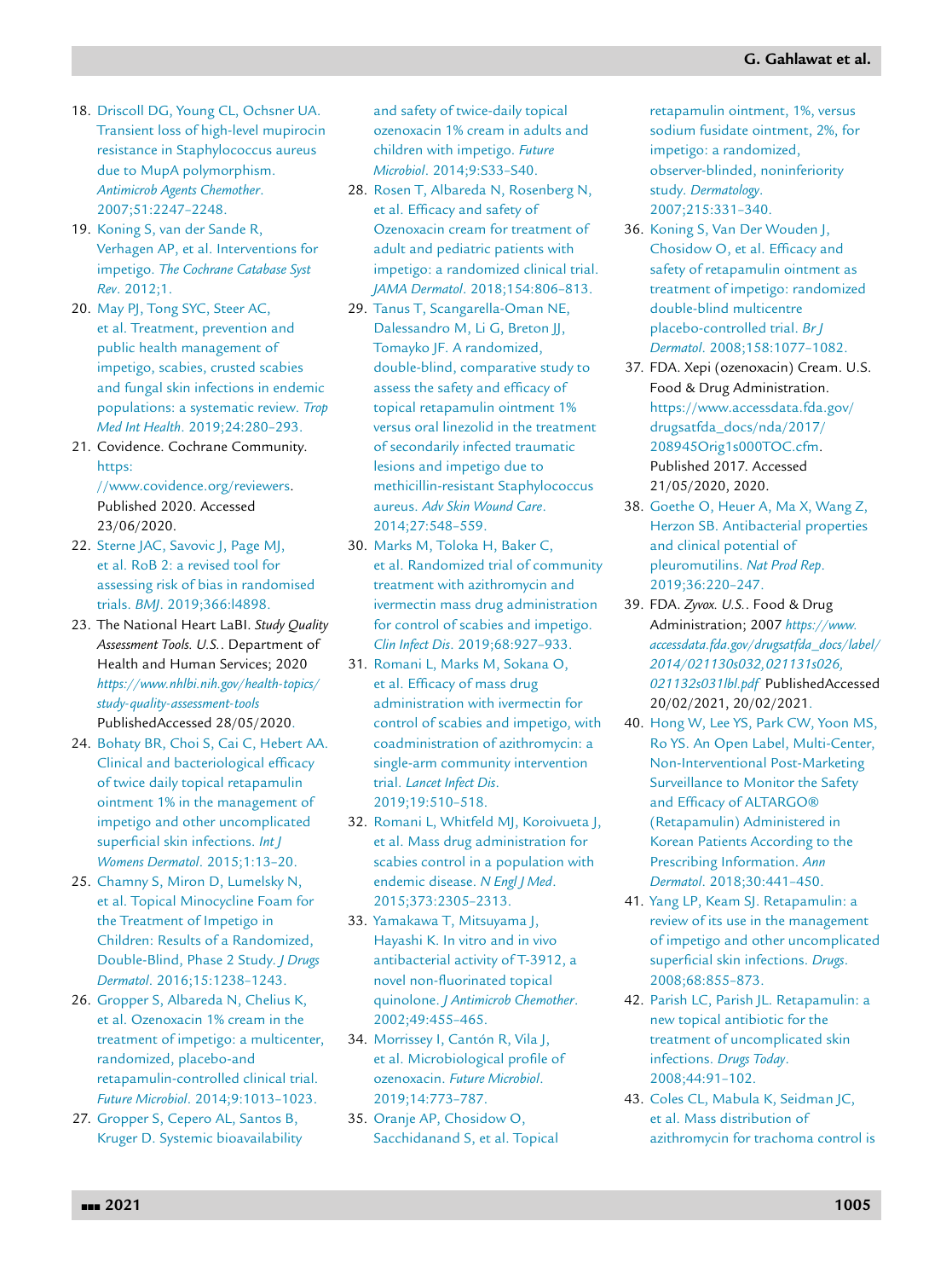- <span id="page-19-0"></span>18. [Driscoll](http://refhub.elsevier.com/S0149-2918(21)00208-3/sbref0018) DG, [Young](http://refhub.elsevier.com/S0149-2918(21)00208-3/sbref0018) CL, [Ochsner](http://refhub.elsevier.com/S0149-2918(21)00208-3/sbref0018) UA. Transient loss of high-level mupirocin resistance in Staphylococcus aureus due to MupA polymorphism. *Antimicrob Agents Chemother*. [2007;51:2247–2248.](http://refhub.elsevier.com/S0149-2918(21)00208-3/sbref0018)
- 19. [Koning](http://refhub.elsevier.com/S0149-2918(21)00208-3/sbref0019) S, van der [Sande](http://refhub.elsevier.com/S0149-2918(21)00208-3/sbref0019) R, [Verhagen](http://refhub.elsevier.com/S0149-2918(21)00208-3/sbref0019) AP, et [al.](http://refhub.elsevier.com/S0149-2918(21)00208-3/sbref0019) [Interventions](http://refhub.elsevier.com/S0149-2918(21)00208-3/sbref0019) for impetigo. *The Cochrane Catabase Syst Rev*. 2012;1.
- 20. [May](http://refhub.elsevier.com/S0149-2918(21)00208-3/sbref0020) PJ, [Tong](http://refhub.elsevier.com/S0149-2918(21)00208-3/sbref0020) SYC, [Steer](http://refhub.elsevier.com/S0149-2918(21)00208-3/sbref0020) AC, et [al.](http://refhub.elsevier.com/S0149-2918(21)00208-3/sbref0020) Treatment, prevention and public health management of impetigo, scabies, crusted scabies and fungal skin infections in endemic populations: a systematic review. *Trop Med Int Health*. [2019;24:280–293.](http://refhub.elsevier.com/S0149-2918(21)00208-3/sbref0020)
- 21. Covidence. Cochrane Community. https: [//www.covidence.org/reviewers.](https://www.covidence.org/reviewers)

Published 2020. Accessed 23/06/2020.

- 22. [Sterne](http://refhub.elsevier.com/S0149-2918(21)00208-3/sbref0022) JAC, [Savovic](http://refhub.elsevier.com/S0149-2918(21)00208-3/sbref0022) J, [Page](http://refhub.elsevier.com/S0149-2918(21)00208-3/sbref0022) MJ, et [al.](http://refhub.elsevier.com/S0149-2918(21)00208-3/sbref0022) RoB 2: a revised tool for assessing risk of bias in randomised trials. *BMJ*. [2019;366:l4898.](http://refhub.elsevier.com/S0149-2918(21)00208-3/sbref0022)
- 23. The National Heart LaBI. *Study Quality Assessment Tools. U.S.*. Department of Health and Human Services; 2020 *[https://www.nhlbi.nih.gov/health-topics/](https://www.nhlbi.nih.gov/health-topics/study-quality-assessment-tools) study-quality-assessment-tools* PublishedAccessed 28/05/2020.
- 24. [Bohaty](http://refhub.elsevier.com/S0149-2918(21)00208-3/sbref0024) BR, [Choi](http://refhub.elsevier.com/S0149-2918(21)00208-3/sbref0024) S, [Cai](http://refhub.elsevier.com/S0149-2918(21)00208-3/sbref0024) C, [Hebert](http://refhub.elsevier.com/S0149-2918(21)00208-3/sbref0024) AA. Clinical and bacteriological efficacy of twice daily topical retapamulin ointment 1% in the management of impetigo and other [uncomplicated](http://refhub.elsevier.com/S0149-2918(21)00208-3/sbref0024) superficial skin infections. *Int J Womens Dermatol*. 2015;1:13–20.
- 25. [Chamny](http://refhub.elsevier.com/S0149-2918(21)00208-3/sbref0025) S, [Miron](http://refhub.elsevier.com/S0149-2918(21)00208-3/sbref0025) D, [Lumelsky](http://refhub.elsevier.com/S0149-2918(21)00208-3/sbref0025) N, et [al.](http://refhub.elsevier.com/S0149-2918(21)00208-3/sbref0025) Topical Minocycline Foam for the Treatment of Impetigo in Children: Results of a Randomized, Double-Blind, Phase 2 Study. *J Drugs Dermatol*. [2016;15:1238–1243.](http://refhub.elsevier.com/S0149-2918(21)00208-3/sbref0025)
- 26. [Gropper](http://refhub.elsevier.com/S0149-2918(21)00208-3/sbref0026) S, [Albareda](http://refhub.elsevier.com/S0149-2918(21)00208-3/sbref0026) N, [Chelius](http://refhub.elsevier.com/S0149-2918(21)00208-3/sbref0026) K, et [al.](http://refhub.elsevier.com/S0149-2918(21)00208-3/sbref0026) Ozenoxacin 1% cream in the treatment of impetigo: a multicenter, randomized, placebo-and [retapamulin-controlled](http://refhub.elsevier.com/S0149-2918(21)00208-3/sbref0026) clinical trial. *Future Microbiol*. 2014;9:1013–1023.
- 27. [Gropper](http://refhub.elsevier.com/S0149-2918(21)00208-3/sbref0027) S, [Cepero](http://refhub.elsevier.com/S0149-2918(21)00208-3/sbref0027) AL, [Santos](http://refhub.elsevier.com/S0149-2918(21)00208-3/sbref0027) B, [Kruger](http://refhub.elsevier.com/S0149-2918(21)00208-3/sbref0027) D. Systemic bioavailability

and safety of twice-daily topical ozenoxacin 1% cream in adults and children with impetigo. *Future Microbiol*. 2014;9:S33–S40.

- 28. [Rosen](http://refhub.elsevier.com/S0149-2918(21)00208-3/sbref0028) T, [Albareda](http://refhub.elsevier.com/S0149-2918(21)00208-3/sbref0028) N, [Rosenberg](http://refhub.elsevier.com/S0149-2918(21)00208-3/sbref0028) N, et [al.](http://refhub.elsevier.com/S0149-2918(21)00208-3/sbref0028) Efficacy and safety of Ozenoxacin cream for treatment of adult and pediatric patients with impetigo: a randomized clinical trial. *JAMA Dermatol*. [2018;154:806–813.](http://refhub.elsevier.com/S0149-2918(21)00208-3/sbref0028)
- 29. [Tanus](http://refhub.elsevier.com/S0149-2918(21)00208-3/sbref0029) T, [Scangarella-Oman](http://refhub.elsevier.com/S0149-2918(21)00208-3/sbref0029) NE, [Dalessandro](http://refhub.elsevier.com/S0149-2918(21)00208-3/sbref0029) M, Li [G,](http://refhub.elsevier.com/S0149-2918(21)00208-3/sbref0029) [Breton](http://refhub.elsevier.com/S0149-2918(21)00208-3/sbref0029) JJ, [Tomayko](http://refhub.elsevier.com/S0149-2918(21)00208-3/sbref0029) JF. A randomized, double-blind, comparative study to assess the safety and efficacy of topical retapamulin ointment 1% versus oral linezolid in the treatment of secondarily infected traumatic lesions and impetigo due to [methicillin-resistant](http://refhub.elsevier.com/S0149-2918(21)00208-3/sbref0029) Staphylococcus aureus. *Adv Skin Wound Care*. 2014;27:548–559.
- 30. [Marks](http://refhub.elsevier.com/S0149-2918(21)00208-3/sbref0030) M, [Toloka](http://refhub.elsevier.com/S0149-2918(21)00208-3/sbref0030) H, [Baker](http://refhub.elsevier.com/S0149-2918(21)00208-3/sbref0030) C, et [al.](http://refhub.elsevier.com/S0149-2918(21)00208-3/sbref0030) Randomized trial of community treatment with azithromycin and ivermectin mass drug administration for control of scabies and impetigo. *Clin Infect Dis*. [2019;68:927–933.](http://refhub.elsevier.com/S0149-2918(21)00208-3/sbref0030)
- 31. [Romani](http://refhub.elsevier.com/S0149-2918(21)00208-3/sbref0031) L, [Marks](http://refhub.elsevier.com/S0149-2918(21)00208-3/sbref0031) M, [Sokana](http://refhub.elsevier.com/S0149-2918(21)00208-3/sbref0031) O, et [al.](http://refhub.elsevier.com/S0149-2918(21)00208-3/sbref0031) Efficacy of mass drug administration with ivermectin for control of scabies and impetigo, with coadministration of azithromycin: a single-arm community intervention trial. *Lancet Infect Dis*. [2019;19:510–518.](http://refhub.elsevier.com/S0149-2918(21)00208-3/sbref0031)
- 32. [Romani](http://refhub.elsevier.com/S0149-2918(21)00208-3/sbref0032) L, [Whitfeld](http://refhub.elsevier.com/S0149-2918(21)00208-3/sbref0032) MJ, [Koroivueta](http://refhub.elsevier.com/S0149-2918(21)00208-3/sbref0032) J, et [al.](http://refhub.elsevier.com/S0149-2918(21)00208-3/sbref0032) Mass drug administration for scabies control in a population with endemic disease. *N Engl J Med*. [2015;373:2305–2313.](http://refhub.elsevier.com/S0149-2918(21)00208-3/sbref0032)
- 33. [Yamakawa](http://refhub.elsevier.com/S0149-2918(21)00208-3/sbref0033) T, [Mitsuyama](http://refhub.elsevier.com/S0149-2918(21)00208-3/sbref0033) J, [Hayashi](http://refhub.elsevier.com/S0149-2918(21)00208-3/sbref0033) K. In vitro and in vivo antibacterial activity of T-3912, a novel non-fluorinated topical quinolone. *J Antimicrob Chemother*. [2002;49:455–465.](http://refhub.elsevier.com/S0149-2918(21)00208-3/sbref0033)
- 34. [Morrissey](http://refhub.elsevier.com/S0149-2918(21)00208-3/sbref0034) I, [Cantón](http://refhub.elsevier.com/S0149-2918(21)00208-3/sbref0034) R, [Vila](http://refhub.elsevier.com/S0149-2918(21)00208-3/sbref0034) J, et [al.](http://refhub.elsevier.com/S0149-2918(21)00208-3/sbref0034) Microbiological profile of ozenoxacin. *Future Microbiol*. [2019;14:773–787.](http://refhub.elsevier.com/S0149-2918(21)00208-3/sbref0034)
- 35. [Oranje](http://refhub.elsevier.com/S0149-2918(21)00208-3/sbref0035) AP, [Chosidow](http://refhub.elsevier.com/S0149-2918(21)00208-3/sbref0035) O, [Sacchidanand](http://refhub.elsevier.com/S0149-2918(21)00208-3/sbref0035) S, et [al.](http://refhub.elsevier.com/S0149-2918(21)00208-3/sbref0035) Topical

retapamulin ointment, 1%, versus sodium fusidate ointment, 2%, for impetigo: a randomized, observer-blinded, noninferiority study. *Dermatology*. 2007;215:331–340.

- 36. [Koning](http://refhub.elsevier.com/S0149-2918(21)00208-3/sbref0036) S, Van Der [Wouden](http://refhub.elsevier.com/S0149-2918(21)00208-3/sbref0036) J, [Chosidow](http://refhub.elsevier.com/S0149-2918(21)00208-3/sbref0036) O, et [al.](http://refhub.elsevier.com/S0149-2918(21)00208-3/sbref0036) Efficacy and safety of retapamulin ointment as treatment of impetigo: randomized double-blind multicentre placebo-controlled trial. *Br J Dermatol*. [2008;158:1077–1082.](http://refhub.elsevier.com/S0149-2918(21)00208-3/sbref0036)
- 37. FDA. Xepi (ozenoxacin) Cream. U.S. Food & Drug Administration. [https://www.accessdata.fda.gov/](https://www.accessdata.fda.gov/drugsatfda_docs/nda/2017/208945Orig1s000TOC.cfm) drugsatfda\_docs/nda/2017/ [208945Orig1s000T](http://refhub.elsevier.com/S0149-2918(21)00208-3/sbref0035)OC.cfm. Published 2017. Accessed 21/05/2020, 2020.
- 38. [Goethe](http://refhub.elsevier.com/S0149-2918(21)00208-3/sbref0038) O, [Heuer](http://refhub.elsevier.com/S0149-2918(21)00208-3/sbref0038) A, [Ma](http://refhub.elsevier.com/S0149-2918(21)00208-3/sbref0038) X, [Wang](http://refhub.elsevier.com/S0149-2918(21)00208-3/sbref0038) Z, [Herzon](http://refhub.elsevier.com/S0149-2918(21)00208-3/sbref0038) SB. Antibacterial properties and clinical potential of pleuromutilins. *Nat Prod Rep*. [2019;36:220–247.](http://refhub.elsevier.com/S0149-2918(21)00208-3/sbref0038)
- 39. FDA. *Zyvox. U.S.*. Food & Drug Administration; 2007 *https://www. [accessdata.fda.gov/drugsatfda\\_docs/label/](https://www.accessdata.fda.gov/drugsatfda_docs/label/2014/021130s032,021131s026,021132s031lbl.pdf) 2014/021130s032,021131s026, 021132s031lbl.pdf* PublishedAccessed 20/02/2021, 20/02/2021.
- 40. [Hong](http://refhub.elsevier.com/S0149-2918(21)00208-3/sbref0040) W, [Lee](http://refhub.elsevier.com/S0149-2918(21)00208-3/sbref0040) YS, [Park](http://refhub.elsevier.com/S0149-2918(21)00208-3/sbref0040) CW, [Yoon](http://refhub.elsevier.com/S0149-2918(21)00208-3/sbref0040) MS, [Ro](http://refhub.elsevier.com/S0149-2918(21)00208-3/sbref0040) YS. An Open Label, Multi-Center, [Non-Interventional](http://refhub.elsevier.com/S0149-2918(21)00208-3/sbref0040) Post-Marketing Surveillance to Monitor the Safety and Efficacy of ALTARGO® (Retapamulin) Administered in Korean Patients According to the Prescribing Information. *Ann Dermatol*. 2018;30:441–450.
- 41. [Yang](http://refhub.elsevier.com/S0149-2918(21)00208-3/sbref0041) LP, [Keam](http://refhub.elsevier.com/S0149-2918(21)00208-3/sbref0041) SJ. Retapamulin: a review of its use in the management of impetigo and other uncomplicated superficial skin infections. *Drugs*. [2008;68:855–873.](http://refhub.elsevier.com/S0149-2918(21)00208-3/sbref0041)
- 42. [Parish](http://refhub.elsevier.com/S0149-2918(21)00208-3/sbref0042) LC, [Parish](http://refhub.elsevier.com/S0149-2918(21)00208-3/sbref0042) JL. Retapamulin: a new topical antibiotic for the treatment of uncomplicated skin infections. *Drugs Today*. [2008;44:91–102.](http://refhub.elsevier.com/S0149-2918(21)00208-3/sbref0042)
- 43. [Coles](http://refhub.elsevier.com/S0149-2918(21)00208-3/sbref0043) CL, [Mabula](http://refhub.elsevier.com/S0149-2918(21)00208-3/sbref0043) K, [Seidman](http://refhub.elsevier.com/S0149-2918(21)00208-3/sbref0043) JC, et [al.](http://refhub.elsevier.com/S0149-2918(21)00208-3/sbref0043) Mass distribution of azithromycin for trachoma control is